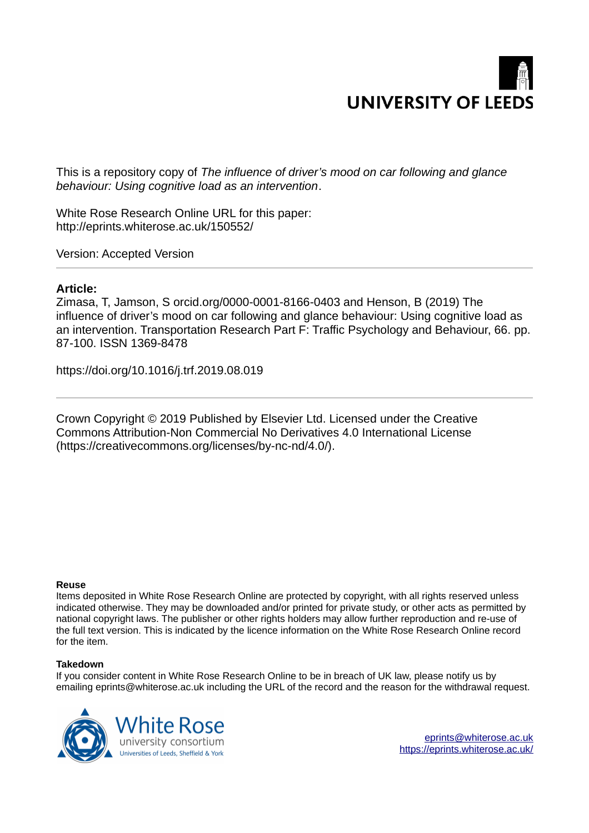

This is a repository copy of *The influence of driver's mood on car following and glance behaviour: Using cognitive load as an intervention*.

White Rose Research Online URL for this paper: http://eprints.whiterose.ac.uk/150552/

Version: Accepted Version

# **Article:**

Zimasa, T, Jamson, S orcid.org/0000-0001-8166-0403 and Henson, B (2019) The influence of driver's mood on car following and glance behaviour: Using cognitive load as an intervention. Transportation Research Part F: Traffic Psychology and Behaviour, 66. pp. 87-100. ISSN 1369-8478

https://doi.org/10.1016/j.trf.2019.08.019

Crown Copyright © 2019 Published by Elsevier Ltd. Licensed under the Creative Commons Attribution-Non Commercial No Derivatives 4.0 International License (https://creativecommons.org/licenses/by-nc-nd/4.0/).

## **Reuse**

Items deposited in White Rose Research Online are protected by copyright, with all rights reserved unless indicated otherwise. They may be downloaded and/or printed for private study, or other acts as permitted by national copyright laws. The publisher or other rights holders may allow further reproduction and re-use of the full text version. This is indicated by the licence information on the White Rose Research Online record for the item.

## **Takedown**

If you consider content in White Rose Research Online to be in breach of UK law, please notify us by emailing eprints@whiterose.ac.uk including the URL of the record and the reason for the withdrawal request.



[eprints@whiterose.ac.uk](mailto:eprints@whiterose.ac.uk) <https://eprints.whiterose.ac.uk/>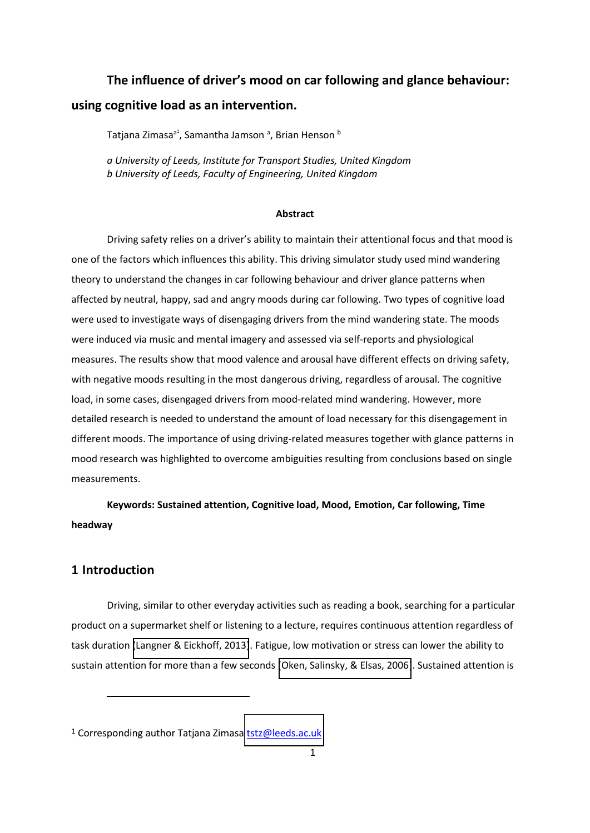# **The influence of driver's mood on car following and glance behaviour: using cognitive load as an intervention.**

Tatjana Zimasa<sup>a1</sup>, Samantha Jamson <sup>a</sup>, Brian Henson <sup>b</sup>

*a University of Leeds, Institute for Transport Studies, United Kingdom b University of Leeds, Faculty of Engineering, United Kingdom* 

## **Abstract**

Driving safety relies on a driver's ability to maintain their attentional focus and that mood is one of the factors which influences this ability. This driving simulator study used mind wandering theory to understand the changes in car following behaviour and driver glance patterns when affected by neutral, happy, sad and angry moods during car following. Two types of cognitive load were used to investigate ways of disengaging drivers from the mind wandering state. The moods were induced via music and mental imagery and assessed via self-reports and physiological measures. The results show that mood valence and arousal have different effects on driving safety, with negative moods resulting in the most dangerous driving, regardless of arousal. The cognitive load, in some cases, disengaged drivers from mood-related mind wandering. However, more detailed research is needed to understand the amount of load necessary for this disengagement in different moods. The importance of using driving-related measures together with glance patterns in mood research was highlighted to overcome ambiguities resulting from conclusions based on single measurements.

**Keywords: Sustained attention, Cognitive load, Mood, Emotion, Car following, Time headway** 

# **1 Introduction**

-

Driving, similar to other everyday activities such as reading a book, searching for a particular product on a supermarket shelf or listening to a lecture, requires continuous attention regardless of task duration [\(Langner & Eickhoff, 2013\)](#page-23-0). Fatigue, low motivation or stress can lower the ability to sustain attention for more than a few seconds [\(Oken, Salinsky, & Elsas, 2006\)](#page-24-0). Sustained attention is

<sup>&</sup>lt;sup>1</sup> Corresponding author Tatiana Zimasa tstz@leeds.ac.uk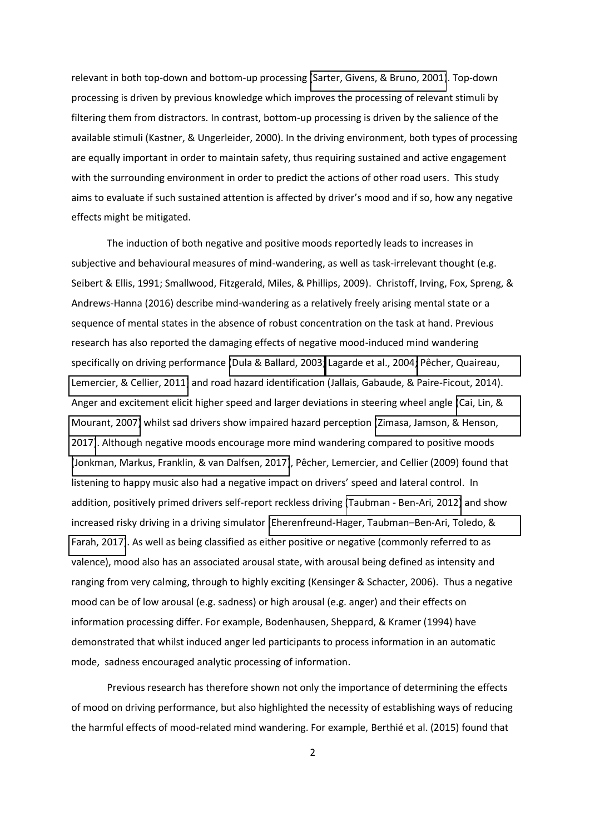relevant in both top-down and bottom-up processing [\(Sarter, Givens, & Bruno, 2001\)](#page-25-0). Top-down processing is driven by previous knowledge which improves the processing of relevant stimuli by filtering them from distractors. In contrast, bottom-up processing is driven by the salience of the available stimuli (Kastner, & Ungerleider, 2000). In the driving environment, both types of processing are equally important in order to maintain safety, thus requiring sustained and active engagement with the surrounding environment in order to predict the actions of other road users. This study aims to evaluate if such sustained attention is affected by driver's mood and if so, how any negative effects might be mitigated.

The induction of both negative and positive moods reportedly leads to increases in subjective and behavioural measures of mind-wandering, as well as task-irrelevant thought (e.g. Seibert & Ellis, 1991; Smallwood, Fitzgerald, Miles, & Phillips, 2009). Christoff, Irving, Fox, Spreng, & Andrews-Hanna (2016) describe mind-wandering as a relatively freely arising mental state or a sequence of mental states in the absence of robust concentration on the task at hand. Previous research has also reported the damaging effects of negative mood-induced mind wandering specifically on driving performance [\(Dula & Ballard, 2003;](#page-22-0) [Lagarde et al., 2004;](#page-23-1) Pêcher, Quaireau, [Lemercier, & Cellier, 2011\)](#page-24-1) and road hazard identification (Jallais, Gabaude, & Paire-Ficout, 2014). Anger and excitement elicit higher speed and larger deviations in steering wheel angle [\(Cai, Lin, &](#page-22-1)  [Mourant, 2007\)](#page-22-1) whilst sad drivers show impaired hazard perception [\(Zimasa, Jamson, & Henson,](#page-26-0)  [2017\)](#page-26-0). Although negative moods encourage more mind wandering compared to positive moods [\(Jonkman, Markus, Franklin, & van Dalfsen, 2017\)](#page-23-2), Pêcher, Lemercier, and Cellier (2009) found that listening to happy music also had a negative impact on drivers' speed and lateral control. In addition, positively primed drivers self-report reckless driving [\(Taubman - Ben-Ari, 2012\)](#page-25-1) and show increased risky driving in a driving simulator [\(Eherenfreund-Hager, Taubman](#page-22-2)–Ben-Ari, Toledo, & [Farah, 2017\)](#page-22-2). As well as being classified as either positive or negative (commonly referred to as valence), mood also has an associated arousal state, with arousal being defined as intensity and ranging from very calming, through to highly exciting (Kensinger & Schacter, 2006). Thus a negative mood can be of low arousal (e.g. sadness) or high arousal (e.g. anger) and their effects on information processing differ. For example, Bodenhausen, Sheppard, & Kramer (1994) have demonstrated that whilst induced anger led participants to process information in an automatic mode, sadness encouraged analytic processing of information.

Previous research has therefore shown not only the importance of determining the effects of mood on driving performance, but also highlighted the necessity of establishing ways of reducing the harmful effects of mood-related mind wandering. For example, Berthié et al. (2015) found that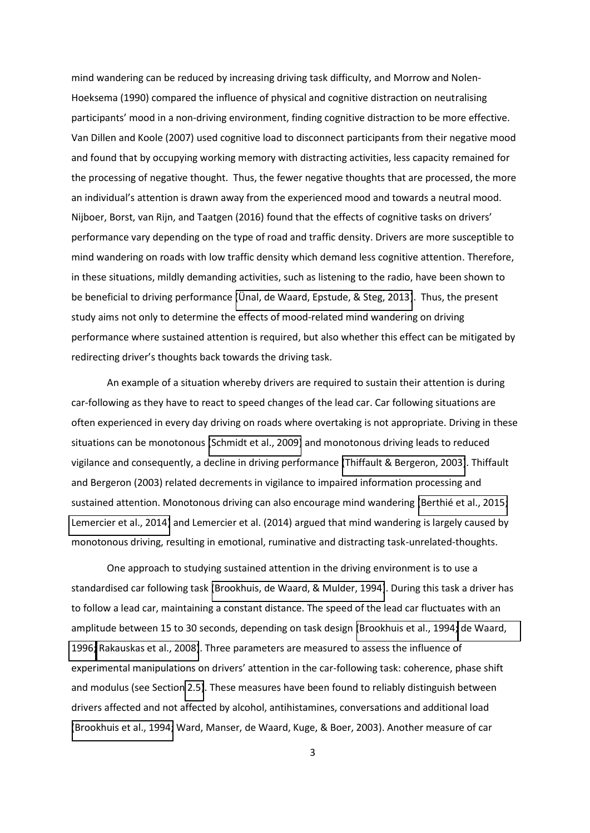mind wandering can be reduced by increasing driving task difficulty, and Morrow and Nolen-Hoeksema (1990) compared the influence of physical and cognitive distraction on neutralising participants' mood in a non-driving environment, finding cognitive distraction to be more effective. Van Dillen and Koole (2007) used cognitive load to disconnect participants from their negative mood and found that by occupying working memory with distracting activities, less capacity remained for the processing of negative thought. Thus, the fewer negative thoughts that are processed, the more an individual's attention is drawn away from the experienced mood and towards a neutral mood. Nijboer, Borst, van Rijn, and Taatgen (2016) found that the effects of cognitive tasks on drivers' performance vary depending on the type of road and traffic density. Drivers are more susceptible to mind wandering on roads with low traffic density which demand less cognitive attention. Therefore, in these situations, mildly demanding activities, such as listening to the radio, have been shown to be beneficial to driving performance (Unal, de Waard, Epstude, & Steg, 2013). Thus, the present study aims not only to determine the effects of mood-related mind wandering on driving performance where sustained attention is required, but also whether this effect can be mitigated by redirecting driver's thoughts back towards the driving task.

An example of a situation whereby drivers are required to sustain their attention is during car-following as they have to react to speed changes of the lead car. Car following situations are often experienced in every day driving on roads where overtaking is not appropriate. Driving in these situations can be monotonous [\(Schmidt et al., 2009\)](#page-25-3) and monotonous driving leads to reduced vigilance and consequently, a decline in driving performance [\(Thiffault & Bergeron, 2003\)](#page-25-4). Thiffault and Bergeron (2003) related decrements in vigilance to impaired information processing and sustained attention. Monotonous driving can also encourage mind wandering (Berthié et al., 2015; [Lemercier et al., 2014\)](#page-24-2) and Lemercier et al. (2014) argued that mind wandering is largely caused by monotonous driving, resulting in emotional, ruminative and distracting task-unrelated-thoughts.

One approach to studying sustained attention in the driving environment is to use a standardised car following task [\(Brookhuis, de Waard, & Mulder, 1994\)](#page-22-3). During this task a driver has to follow a lead car, maintaining a constant distance. The speed of the lead car fluctuates with an amplitude between 15 to 30 seconds, depending on task design [\(Brookhuis et al., 1994;](#page-22-3) [de Waard,](#page-22-4)  [1996;](#page-22-4) [Rakauskas et al., 2008\)](#page-24-3). Three parameters are measured to assess the influence of experimental manipulations on drivers' attention in the car-following task: coherence, phase shift and modulus (see Section [2.5\)](#page-7-0). These measures have been found to reliably distinguish between drivers affected and not affected by alcohol, antihistamines, conversations and additional load [\(Brookhuis et al., 1994;](#page-22-3) Ward, Manser, de Waard, Kuge, & Boer, 2003). Another measure of car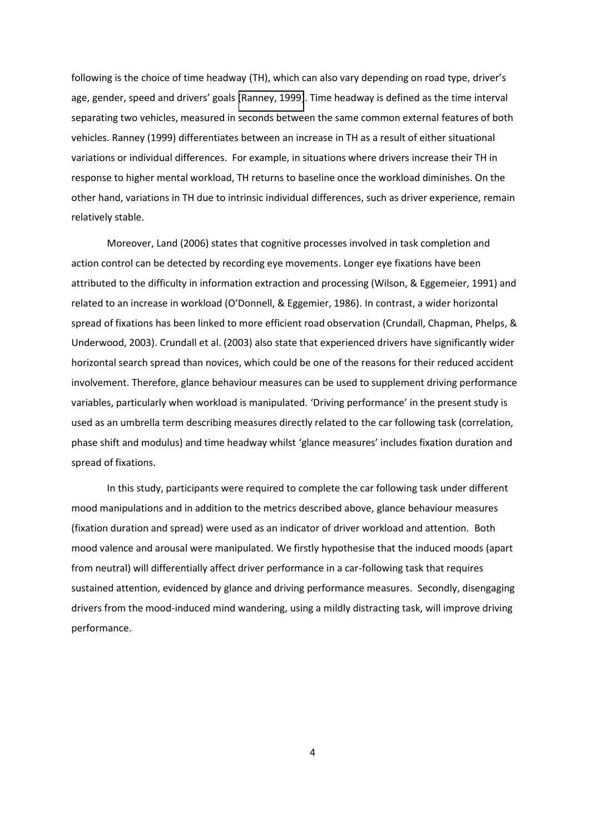following is the choice of time headway (TH), which can also vary depending on road type, driver's age, gender, speed and drivers' goals [\(Ranney, 1999\)](#page-24-4). Time headway is defined as the time interval separating two vehicles, measured in seconds between the same common external features of both vehicles. Ranney (1999) differentiates between an increase in TH as a result of either situational variations or individual differences. For example, in situations where drivers increase their TH in response to higher mental workload, TH returns to baseline once the workload diminishes. On the other hand, variations in TH due to intrinsic individual differences, such as driver experience, remain relatively stable.

Moreover, Land (2006) states that cognitive processes involved in task completion and action control can be detected by recording eye movements. Longer eye fixations have been attributed to the difficulty in information extraction and processing (Wilson, & Eggemeier, 1991) and related to an increase in workload (O'Donnell, & Eggemier, 1986). In contrast, a wider horizontal spread of fixations has been linked to more efficient road observation (Crundall, Chapman, Phelps, & Underwood, 2003). Crundall et al. (2003) also state that experienced drivers have significantly wider horizontal search spread than novices, which could be one of the reasons for their reduced accident involvement. Therefore, glance behaviour measures can be used to supplement driving performance variables, particularly when workload is manipulated. 'Driving performance' in the present study is used as an umbrella term describing measures directly related to the car following task (correlation, phase shift and modulus) and time headway whilst 'glance measures' includes fixation duration and spread of fixations.

In this study, participants were required to complete the car following task under different mood manipulations and in addition to the metrics described above, glance behaviour measures (fixation duration and spread) were used as an indicator of driver workload and attention. Both mood valence and arousal were manipulated. We firstly hypothesise that the induced moods (apart from neutral) will differentially affect driver performance in a car-following task that requires sustained attention, evidenced by glance and driving performance measures. Secondly, disengaging drivers from the mood-induced mind wandering, using a mildly distracting task, will improve driving performance.

4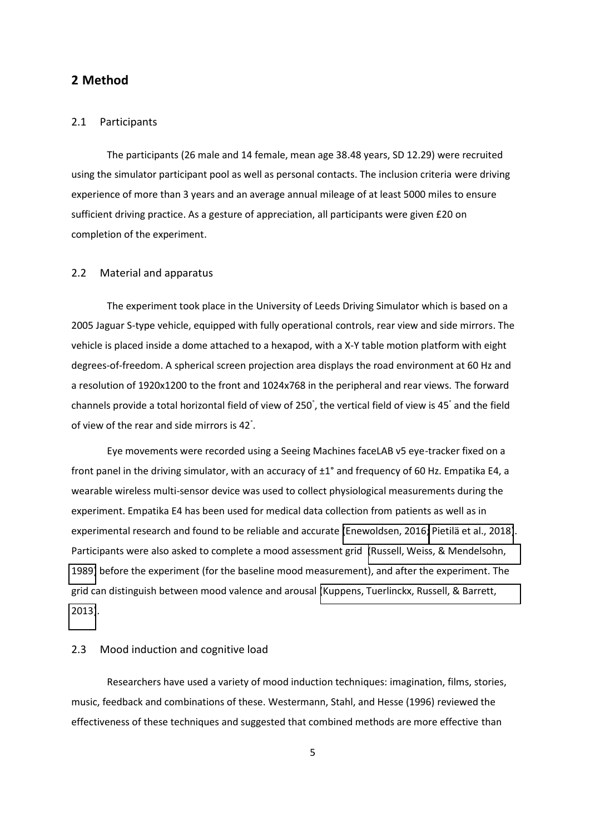## **2 Method**

## 2.1 Participants

The participants (26 male and 14 female, mean age 38.48 years, SD 12.29) were recruited using the simulator participant pool as well as personal contacts. The inclusion criteria were driving experience of more than 3 years and an average annual mileage of at least 5000 miles to ensure sufficient driving practice. As a gesture of appreciation, all participants were given £20 on completion of the experiment.

### 2.2 Material and apparatus

The experiment took place in the University of Leeds Driving Simulator which is based on a 2005 Jaguar S-type vehicle, equipped with fully operational controls, rear view and side mirrors. The vehicle is placed inside a dome attached to a hexapod, with a X-Y table motion platform with eight degrees-of-freedom. A spherical screen projection area displays the road environment at 60 Hz and a resolution of 1920x1200 to the front and 1024x768 in the peripheral and rear views. The forward channels provide a total horizontal field of view of 250 ° , the vertical field of view is 45° and the field of view of the rear and side mirrors is 42° .

<span id="page-5-0"></span>Eye movements were recorded using a Seeing Machines faceLAB v5 eye-tracker fixed on a front panel in the driving simulator, with an accuracy of  $\pm 1^\circ$  and frequency of 60 Hz. Empatika E4, a wearable wireless multi-sensor device was used to collect physiological measurements during the experiment. Empatika E4 has been used for medical data collection from patients as well as in experimental research and found to be reliable and accurate [\(Enewoldsen, 2016;](#page-22-5) Pietilä et al., 2018). Participants were also asked to complete a mood assessment grid [\(Russell, Weiss, & Mendelsohn,](#page-25-5)  [1989\)](#page-25-5) before the experiment (for the baseline mood measurement), and after the experiment. The grid can distinguish between mood valence and arousal [\(Kuppens, Tuerlinckx, Russell, & Barrett,](#page-23-3)  [2013\)](#page-23-3).

#### 2.3 Mood induction and cognitive load

Researchers have used a variety of mood induction techniques: imagination, films, stories, music, feedback and combinations of these. Westermann, Stahl, and Hesse (1996) reviewed the effectiveness of these techniques and suggested that combined methods are more effective than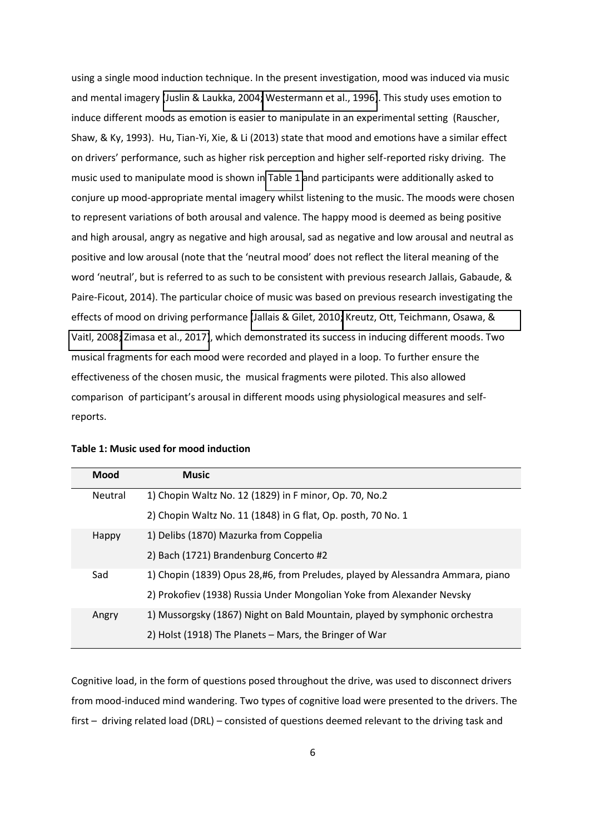using a single mood induction technique. In the present investigation, mood was induced via music and mental imagery [\(Juslin & Laukka, 2004;](#page-23-4) [Westermann et al., 1996\)](#page-26-1). This study uses emotion to induce different moods as emotion is easier to manipulate in an experimental setting (Rauscher, Shaw, & Ky, 1993). Hu, Tian-Yi, Xie, & Li (2013) state that mood and emotions have a similar effect on drivers' performance, such as higher risk perception and higher self-reported risky driving. The music used to manipulate mood is shown in [Table 1](#page-5-0) and participants were additionally asked to conjure up mood-appropriate mental imagery whilst listening to the music. The moods were chosen to represent variations of both arousal and valence. The happy mood is deemed as being positive and high arousal, angry as negative and high arousal, sad as negative and low arousal and neutral as positive and low arousal (note that the 'neutral mood' does not reflect the literal meaning of the word 'neutral', but is referred to as such to be consistent with previous research Jallais, Gabaude, & Paire-Ficout, 2014). The particular choice of music was based on previous research investigating the effects of mood on driving performance [\(Jallais & Gilet, 2010;](#page-23-5) [Kreutz, Ott, Teichmann, Osawa, &](#page-23-6)  [Vaitl, 2008;](#page-23-6) [Zimasa et al., 2017\)](#page-26-0), which demonstrated its success in inducing different moods. Two musical fragments for each mood were recorded and played in a loop. To further ensure the effectiveness of the chosen music, the musical fragments were piloted. This also allowed comparison of participant's arousal in different moods using physiological measures and selfreports.

| Mood           | <b>Music</b>                                                                   |
|----------------|--------------------------------------------------------------------------------|
| <b>Neutral</b> | 1) Chopin Waltz No. 12 (1829) in F minor, Op. 70, No.2                         |
|                | 2) Chopin Waltz No. 11 (1848) in G flat, Op. posth, 70 No. 1                   |
| Happy          | 1) Delibs (1870) Mazurka from Coppelia                                         |
|                | 2) Bach (1721) Brandenburg Concerto #2                                         |
| Sad            | 1) Chopin (1839) Opus 28,#6, from Preludes, played by Alessandra Ammara, piano |
|                | 2) Prokofiev (1938) Russia Under Mongolian Yoke from Alexander Nevsky          |
| Angry          | 1) Mussorgsky (1867) Night on Bald Mountain, played by symphonic orchestra     |
|                | 2) Holst (1918) The Planets - Mars, the Bringer of War                         |

## **Table 1: Music used for mood induction**

Cognitive load, in the form of questions posed throughout the drive, was used to disconnect drivers from mood-induced mind wandering. Two types of cognitive load were presented to the drivers. The first – driving related load (DRL) – consisted of questions deemed relevant to the driving task and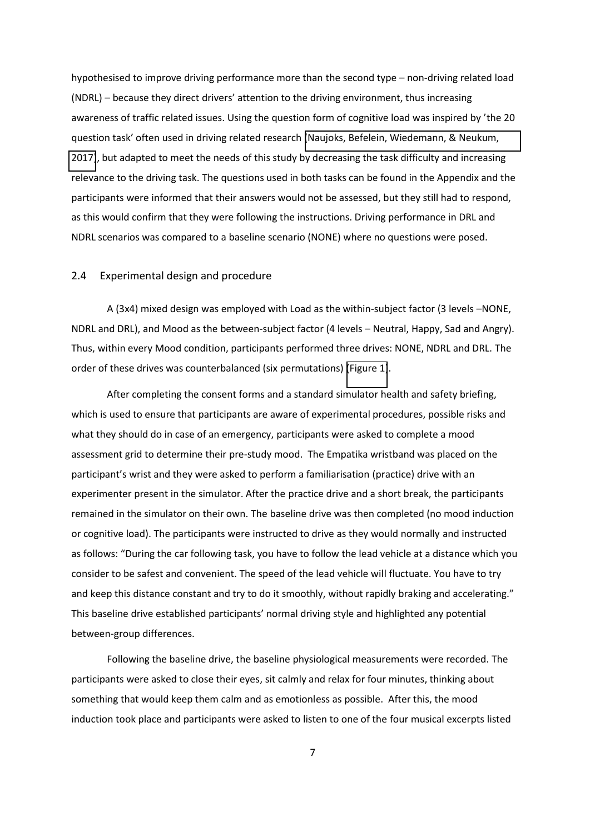hypothesised to improve driving performance more than the second type – non-driving related load (NDRL) – because they direct drivers' attention to the driving environment, thus increasing awareness of traffic related issues. Using the question form of cognitive load was inspired by 'the 20 guestion task' often used in driving related research (Naujoks, Befelein, Wiedemann, & Neukum, [2017\)](#page-23-0), but adapted to meet the needs of this study by decreasing the task difficulty and increasing relevance to the driving task. The questions used in both tasks can be found in the Appendix and the participants were informed that their answers would not be assessed, but they still had to respond, as this would confirm that they were following the instructions. Driving performance in DRL and NDRL scenarios was compared to a baseline scenario (NONE) where no questions were posed.

## 2.4 Experimental design and procedure

A (3x4) mixed design was employed with Load as the within-subject factor (3 levels -NONE, NDRL and DRL), and Mood as the between-subject factor (4 levels – Neutral, Happy, Sad and Angry). Thus, within every Mood condition, participants performed three drives: NONE, NDRL and DRL. The order of these drives was counterbalanced (six permutations) [\(Figure 1\)](#page-7-1).

<span id="page-7-1"></span><span id="page-7-0"></span>After completing the consent forms and a standard simulator health and safety briefing, which is used to ensure that participants are aware of experimental procedures, possible risks and what they should do in case of an emergency, participants were asked to complete a mood assessment grid to determine their pre-study mood. The Empatika wristband was placed on the participant's wrist and they were asked to perform a familiarisation (practice) drive with an experimenter present in the simulator. After the practice drive and a short break, the participants remained in the simulator on their own. The baseline drive was then completed (no mood induction or cognitive load). The participants were instructed to drive as they would normally and instructed as follows: "During the car following task, you have to follow the lead vehicle at a distance which you consider to be safest and convenient. The speed of the lead vehicle will fluctuate. You have to try and keep this distance constant and try to do it smoothly, without rapidly braking and accelerating." This baseline drive established participants' normal driving style and highlighted any potential between-group differences.

Following the baseline drive, the baseline physiological measurements were recorded. The participants were asked to close their eyes, sit calmly and relax for four minutes, thinking about something that would keep them calm and as emotionless as possible. After this, the mood induction took place and participants were asked to listen to one of the four musical excerpts listed

7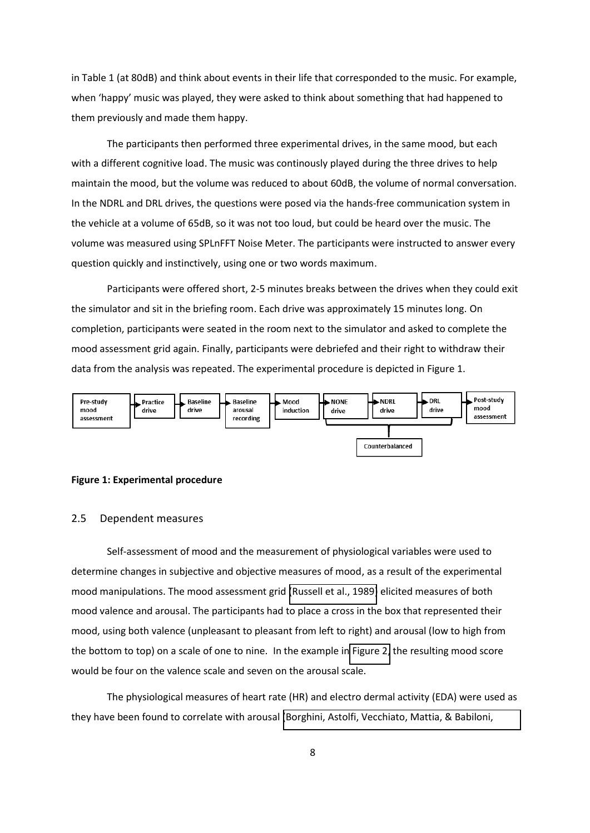in Table 1 (at 80dB) and think about events in their life that corresponded to the music. For example, when 'happy' music was played, they were asked to think about something that had happened to them previously and made them happy.

The participants then performed three experimental drives, in the same mood, but each with a different cognitive load. The music was continously played during the three drives to help maintain the mood, but the volume was reduced to about 60dB, the volume of normal conversation. In the NDRL and DRL drives, the questions were posed via the hands-free communication system in the vehicle at a volume of 65dB, so it was not too loud, but could be heard over the music. The volume was measured using SPLnFFT Noise Meter. The participants were instructed to answer every question quickly and instinctively, using one or two words maximum.

<span id="page-8-0"></span>Participants were offered short, 2-5 minutes breaks between the drives when they could exit the simulator and sit in the briefing room. Each drive was approximately 15 minutes long. On completion, participants were seated in the room next to the simulator and asked to complete the mood assessment grid again. Finally, participants were debriefed and their right to withdraw their data from the analysis was repeated. The experimental procedure is depicted in Figure 1.



#### **Figure 1: Experimental procedure**

## 2.5 Dependent measures

Self-assessment of mood and the measurement of physiological variables were used to determine changes in subjective and objective measures of mood, as a result of the experimental mood manipulations. The mood assessment grid [\(Russell et al., 1989\)](#page-25-5) elicited measures of both mood valence and arousal. The participants had to place a cross in the box that represented their mood, using both valence (unpleasant to pleasant from left to right) and arousal (low to high from the bottom to top) on a scale of one to nine. In the example in [Figure 2,](#page-8-0) the resulting mood score would be four on the valence scale and seven on the arousal scale.

The physiological measures of heart rate (HR) and electro dermal activity (EDA) were used as they have been found to correlate with arousal [\(Borghini, Astolfi, Vecchiato, Mattia, & Babiloni,](#page-21-1)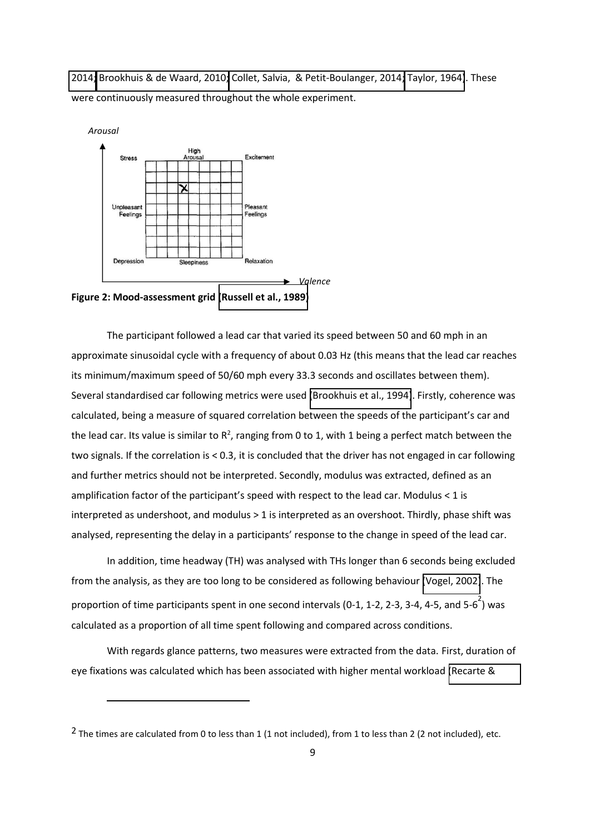[2014;](#page-21-1) [Brookhuis & de Waard, 2010;](#page-22-6) [Collet, Salvia, & Petit-Boulanger, 2014;](#page-22-7) [Taylor, 1964\)](#page-25-6). These were continuously measured throughout the whole experiment.



**Figure 2: Mood-assessment grid [\(Russell et al., 1989\)](#page-25-5)** 

.<br>-

The participant followed a lead car that varied its speed between 50 and 60 mph in an approximate sinusoidal cycle with a frequency of about 0.03 Hz (this means that the lead car reaches its minimum/maximum speed of 50/60 mph every 33.3 seconds and oscillates between them). Several standardised car following metrics were used [\(Brookhuis et al., 1994\)](#page-22-3). Firstly, coherence was calculated, being a measure of squared correlation between the speeds of the participant's car and the lead car. Its value is similar to  $R^2$ , ranging from 0 to 1, with 1 being a perfect match between the two signals. If the correlation is < 0.3, it is concluded that the driver has not engaged in car following and further metrics should not be interpreted. Secondly, modulus was extracted, defined as an amplification factor of the participant's speed with respect to the lead car. Modulus  $< 1$  is interpreted as undershoot, and modulus > 1 is interpreted as an overshoot. Thirdly, phase shift was analysed, representing the delay in a participants' response to the change in speed of the lead car.

In addition, time headway (TH) was analysed with THs longer than 6 seconds being excluded from the analysis, as they are too long to be considered as following behaviour [\(Vogel, 2002\)](#page-25-7). The proportion of time participants spent in one second intervals (0-1, 1-2, 2-3, 3-4, 4-5, and 5-6<sup>2</sup>) was calculated as a proportion of all time spent following and compared across conditions.

With regards glance patterns, two measures were extracted from the data. First, duration of eye fixations was calculated which has been associated with higher mental workload [\(Recarte &](#page-25-8) 

<sup>2</sup> The times are calculated from 0 to less than 1 (1 not included), from 1 to less than 2 (2 not included), etc.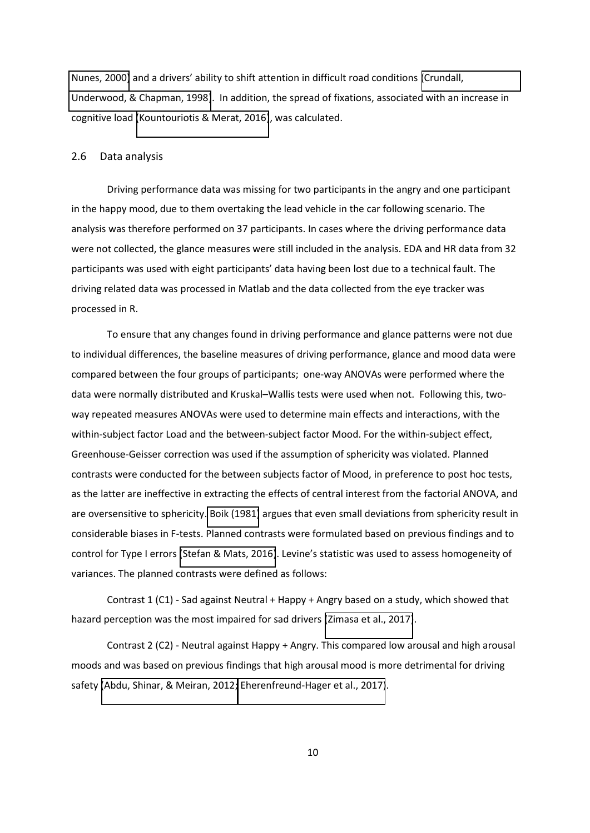[Nunes, 2000\)](#page-25-8) and a drivers' ability to shift attention in difficult road conditions (Crundall, [Underwood, & Chapman, 1998\)](#page-22-8). In addition, the spread of fixations, associated with an increase in cognitive load [\(Kountouriotis & Merat, 2016\)](#page-23-7), was calculated.

## 2.6 Data analysis

Driving performance data was missing for two participants in the angry and one participant in the happy mood, due to them overtaking the lead vehicle in the car following scenario. The analysis was therefore performed on 37 participants. In cases where the driving performance data were not collected, the glance measures were still included in the analysis. EDA and HR data from 32 participants was used with eight participants' data having been lost due to a technical fault. The driving related data was processed in Matlab and the data collected from the eye tracker was processed in R.

To ensure that any changes found in driving performance and glance patterns were not due to individual differences, the baseline measures of driving performance, glance and mood data were compared between the four groups of participants; one-way ANOVAs were performed where the data were normally distributed and Kruskal–Wallis tests were used when not. Following this, twoway repeated measures ANOVAs were used to determine main effects and interactions, with the within-subject factor Load and the between-subject factor Mood. For the within-subject effect, Greenhouse-Geisser correction was used if the assumption of sphericity was violated. Planned contrasts were conducted for the between subjects factor of Mood, in preference to post hoc tests, as the latter are ineffective in extracting the effects of central interest from the factorial ANOVA, and are oversensitive to sphericity[. Boik \(1981\)](#page-21-2) argues that even small deviations from sphericity result in considerable biases in F-tests. Planned contrasts were formulated based on previous findings and to control for Type I errors [\(Stefan & Mats, 2016\)](#page-25-9). Levine's statistic was used to assess homogeneity of variances. The planned contrasts were defined as follows:

Contrast 1 (C1) - Sad against Neutral + Happy + Angry based on a study, which showed that hazard perception was the most impaired for sad drivers [\(Zimasa et al., 2017\)](#page-26-0).

Contrast 2 (C2) - Neutral against Happy + Angry. This compared low arousal and high arousal moods and was based on previous findings that high arousal mood is more detrimental for driving safety [\(Abdu, Shinar, & Meiran, 2012;](#page-21-3) [Eherenfreund-Hager et al., 2017\)](#page-22-2).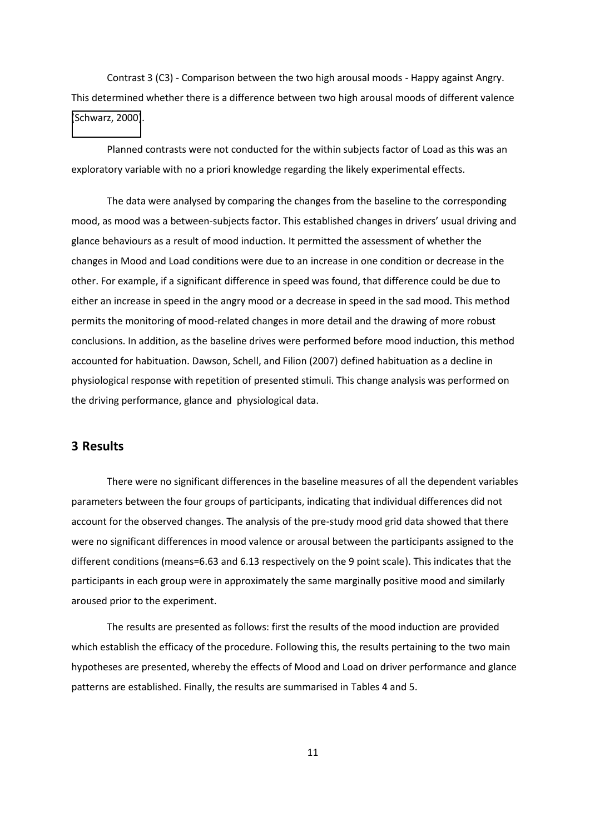Contrast 3 (C3) - Comparison between the two high arousal moods - Happy against Angry. This determined whether there is a difference between two high arousal moods of different valence [\(Schwarz, 2000\)](#page-25-10).

Planned contrasts were not conducted for the within subjects factor of Load as this was an exploratory variable with no a priori knowledge regarding the likely experimental effects.

The data were analysed by comparing the changes from the baseline to the corresponding mood, as mood was a between-subjects factor. This established changes in drivers' usual driving and glance behaviours as a result of mood induction. It permitted the assessment of whether the changes in Mood and Load conditions were due to an increase in one condition or decrease in the other. For example, if a significant difference in speed was found, that difference could be due to either an increase in speed in the angry mood or a decrease in speed in the sad mood. This method permits the monitoring of mood-related changes in more detail and the drawing of more robust conclusions. In addition, as the baseline drives were performed before mood induction, this method accounted for habituation. Dawson, Schell, and Filion (2007) defined habituation as a decline in physiological response with repetition of presented stimuli. This change analysis was performed on the driving performance, glance and physiological data.

# **3 Results**

<span id="page-11-0"></span>There were no significant differences in the baseline measures of all the dependent variables parameters between the four groups of participants, indicating that individual differences did not account for the observed changes. The analysis of the pre-study mood grid data showed that there were no significant differences in mood valence or arousal between the participants assigned to the different conditions (means=6.63 and 6.13 respectively on the 9 point scale). This indicates that the participants in each group were in approximately the same marginally positive mood and similarly aroused prior to the experiment.

The results are presented as follows: first the results of the mood induction are provided which establish the efficacy of the procedure. Following this, the results pertaining to the two main hypotheses are presented, whereby the effects of Mood and Load on driver performance and glance patterns are established. Finally, the results are summarised in Tables 4 and 5.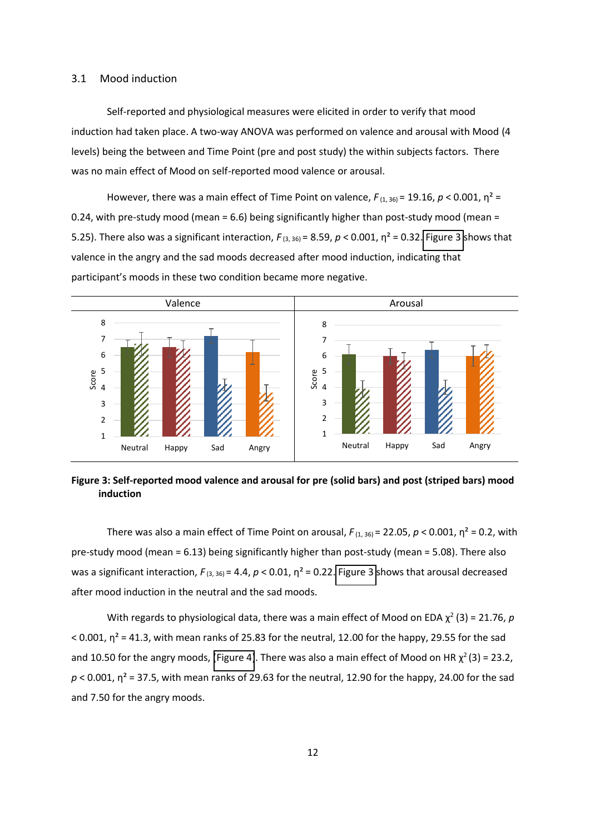## 3.1 Mood induction

Self-reported and physiological measures were elicited in order to verify that mood induction had taken place. A two-way ANOVA was performed on valence and arousal with Mood (4 levels) being the between and Time Point (pre and post study) the within subjects factors. There was no main effect of Mood on self-reported mood valence or arousal.

<span id="page-12-0"></span>However, there was a main effect of Time Point on valence,  $F_{(1, 36)} = 19.16$ ,  $p < 0.001$ ,  $p^2 =$ 0.24, with pre-study mood (mean =  $6.6$ ) being significantly higher than post-study mood (mean = 5.25). There also was a significant interaction,  $F_{(3,36)} = 8.59$ ,  $p < 0.001$ ,  $\eta^2 = 0.32$ [. Figure 3](#page-11-0) shows that valence in the angry and the sad moods decreased after mood induction, indicating that participant's moods in these two condition became more negative.

<span id="page-12-1"></span>

**Figure 3: Self-reported mood valence and arousal for pre (solid bars) and post (striped bars) mood induction** 

There was also a main effect of Time Point on arousal,  $F_{(1, 36)} = 22.05$ ,  $p < 0.001$ ,  $n^2 = 0.2$ , with pre-study mood (mean = 6.13) being significantly higher than post-study (mean = 5.08). There also was a significant interaction,  $F_{(3, 36)} = 4.4$ ,  $p < 0.01$ ,  $n^2 = 0.22$ . [Figure 3](#page-11-0) shows that arousal decreased after mood induction in the neutral and the sad moods.

With regards to physiological data, there was a main effect of Mood on EDA  $\chi^2$  (3) = 21.76, p  $1$  < 0.001,  $\eta^2$  = 41.3, with mean ranks of 25.83 for the neutral, 12.00 for the happy, 29.55 for the sad and 10.50 for the angry moods, [\(Figure 4\)](#page-12-0). There was also a main effect of Mood on HR  $\chi^2(3)$  = 23.2,  $p < 0.001$ ,  $p^2 = 37.5$ , with mean ranks of 29.63 for the neutral, 12.90 for the happy, 24.00 for the sad and 7.50 for the angry moods.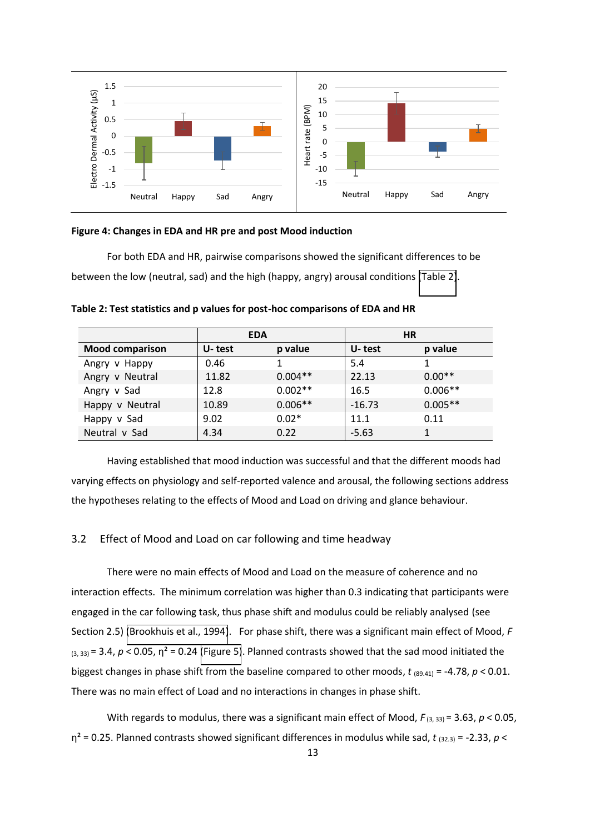

#### **Figure 4: Changes in EDA and HR pre and post Mood induction**

For both EDA and HR, pairwise comparisons showed the significant differences to be between the low (neutral, sad) and the high (happy, angry) arousal conditions [\(Table 2\)](#page-12-1).

|                        | <b>EDA</b> |           | <b>HR</b> |           |
|------------------------|------------|-----------|-----------|-----------|
| <b>Mood comparison</b> | U-test     | p value   | U-test    | p value   |
| Angry v Happy          | 0.46       |           | 5.4       |           |
| Angry v Neutral        | 11.82      | $0.004**$ | 22.13     | $0.00**$  |
| Angry v Sad            | 12.8       | $0.002**$ | 16.5      | $0.006**$ |
| Happy v Neutral        | 10.89      | $0.006**$ | $-16.73$  | $0.005**$ |
| Happy v Sad            | 9.02       | $0.02*$   | 11.1      | 0.11      |
| Neutral v Sad          | 4.34       | 0.22      | $-5.63$   | 1         |

<span id="page-13-0"></span>**Table 2: Test statistics and p values for post-hoc comparisons of EDA and HR** 

Having established that mood induction was successful and that the different moods had varying effects on physiology and self-reported valence and arousal, the following sections address the hypotheses relating to the effects of Mood and Load on driving and glance behaviour.

## 3.2 Effect of Mood and Load on car following and time headway

<span id="page-13-1"></span>There were no main effects of Mood and Load on the measure of coherence and no interaction effects. The minimum correlation was higher than 0.3 indicating that participants were engaged in the car following task, thus phase shift and modulus could be reliably analysed (see Section 2.5) [\(Brookhuis et al., 1994\)](#page-22-3). For phase shift, there was a significant main effect of Mood, *F*  $(3, 33)$  = 3.4,  $p < 0.05$ ,  $\eta^2$  = 0.24 [\(Figure 5\)](#page-13-0). Planned contrasts showed that the sad mood initiated the biggest changes in phase shift from the baseline compared to other moods,  $t_{(89.41)} = -4.78$ ,  $p < 0.01$ . There was no main effect of Load and no interactions in changes in phase shift.

With regards to modulus, there was a significant main effect of Mood,  $F_{(3, 33)} = 3.63$ ,  $p < 0.05$ ,  $η<sup>2</sup> = 0.25$ . Planned contrasts showed significant differences in modulus while sad, *t* (32.3) = -2.33, *p* <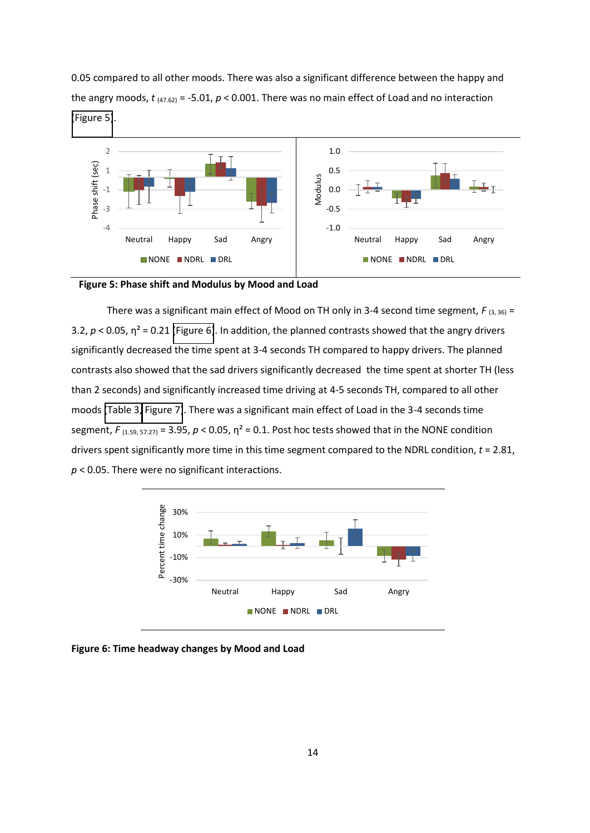0.05 compared to all other moods. There was also a significant difference between the happy and the angry moods,  $t_{(47.62)} = -5.01$ ,  $p < 0.001$ . There was no main effect of Load and no interaction [\(Figure 5\)](#page-13-0).



<span id="page-14-1"></span><span id="page-14-0"></span>

There was a significant main effect of Mood on TH only in 3-4 second time segment,  $F_{(3,36)} =$ 3.2,  $p < 0.05$ ,  $\eta^2 = 0.21$  ([Figure 6\)](#page-13-1). In addition, the planned contrasts showed that the angry drivers significantly decreased the time spent at 3-4 seconds TH compared to happy drivers. The planned contrasts also showed that the sad drivers significantly decreased the time spent at shorter TH (less than 2 seconds) and significantly increased time driving at 4-5 seconds TH, compared to all other moods [\(Table 3,](#page-14-0) [Figure 7\)](#page-14-1). There was a significant main effect of Load in the 3-4 seconds time segment,  $F_{(1.59, 57.27)} = 3.95$ ,  $p < 0.05$ ,  $\eta^2 = 0.1$ . Post hoc tests showed that in the NONE condition drivers spent significantly more time in this time segment compared to the NDRL condition, *t* = 2.81, *p* < 0.05. There were no significant interactions.



**Figure 6: Time headway changes by Mood and Load**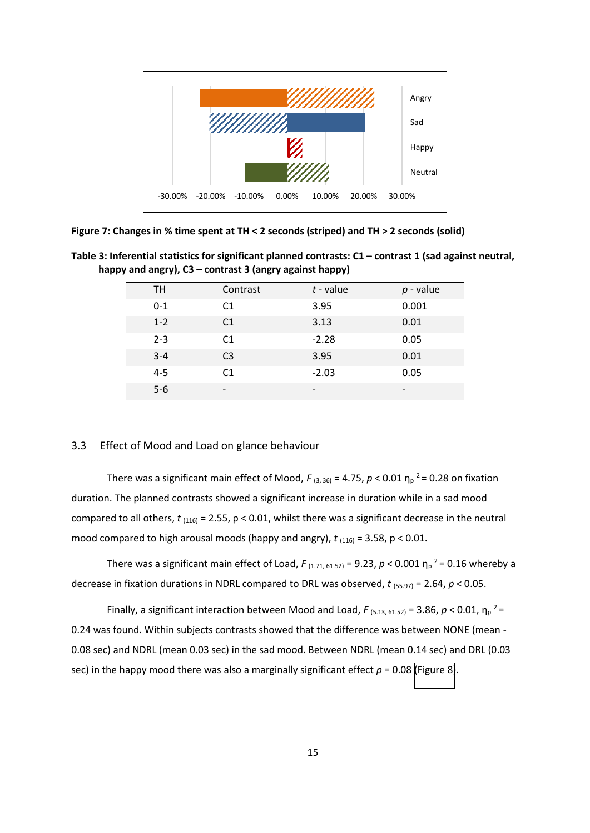

<span id="page-15-0"></span>**Figure 7: Changes in % time spent at TH < 2 seconds (striped) and TH > 2 seconds (solid)** 

Table 3: Inferential statistics for significant planned contrasts: C1 – contrast 1 (sad against neutral, happy and angry), C3 – contrast 3 (angry against happy)

| TH      | Contrast       | $t$ - value              | $p$ - value              |
|---------|----------------|--------------------------|--------------------------|
| $0 - 1$ | C1             | 3.95                     | 0.001                    |
| $1 - 2$ | C <sub>1</sub> | 3.13                     | 0.01                     |
| $2 - 3$ | C <sub>1</sub> | $-2.28$                  | 0.05                     |
| $3 - 4$ | C <sub>3</sub> | 3.95                     | 0.01                     |
| $4 - 5$ | C <sub>1</sub> | $-2.03$                  | 0.05                     |
| $5-6$   | -              | $\overline{\phantom{0}}$ | $\overline{\phantom{0}}$ |

## 3.3 Effect of Mood and Load on glance behaviour

There was a significant main effect of Mood,  $F_{(3,36)} = 4.75$ ,  $p < 0.01$   $\eta_p^2 = 0.28$  on fixation duration. The planned contrasts showed a significant increase in duration while in a sad mood compared to all others, *t* (116) = 2.55, p < 0.01, whilst there was a significant decrease in the neutral mood compared to high arousal moods (happy and angry),  $t_{(116)} = 3.58$ ,  $p < 0.01$ .

<span id="page-15-1"></span>There was a significant main effect of Load,  $F_{(1.71, 61.52)} = 9.23$ ,  $p < 0.001$   $\eta_p^2 = 0.16$  whereby a decrease in fixation durations in NDRL compared to DRL was observed, *t* (55.97) = 2.64, *p* < 0.05.

Finally, a significant interaction between Mood and Load,  $F_{(5.13, 61.52)} = 3.86$ ,  $p < 0.01$ ,  $\eta_p^2 =$ 0.24 was found. Within subjects contrasts showed that the difference was between NONE (mean - 0.08 sec) and NDRL (mean 0.03 sec) in the sad mood. Between NDRL (mean 0.14 sec) and DRL (0.03 sec) in the happy mood there was also a marginally significant effect *p* = 0.08 [\(Figure 8\)](#page-15-0).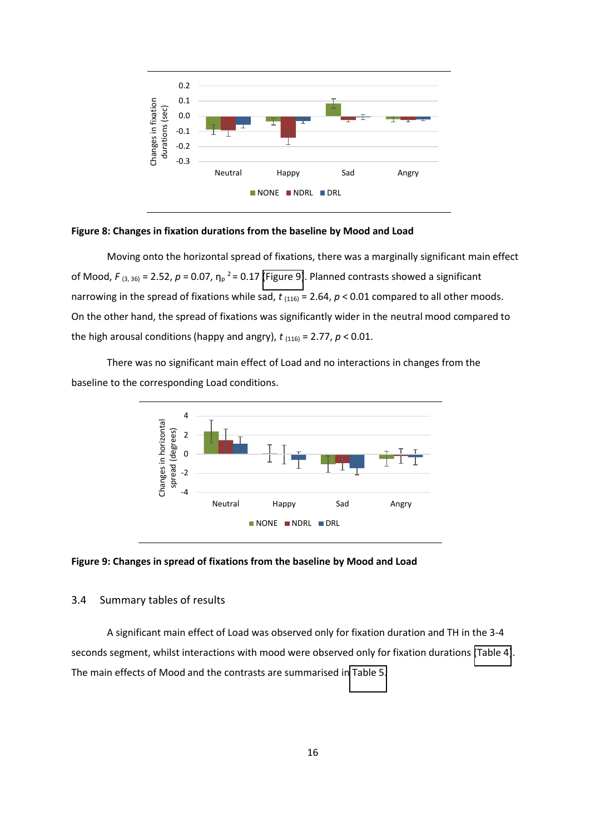<span id="page-16-0"></span>

<span id="page-16-1"></span>

Moving onto the horizontal spread of fixations, there was a marginally significant main effect of Mood,  $F_{(3, 36)} = 2.52$ ,  $p = 0.07$ ,  $\eta_p^2 = 0.17$  [\(Figure 9\)](#page-15-1). Planned contrasts showed a significant narrowing in the spread of fixations while sad,  $t_{(116)} = 2.64$ ,  $p < 0.01$  compared to all other moods. On the other hand, the spread of fixations was significantly wider in the neutral mood compared to the high arousal conditions (happy and angry),  $t_{(116)} = 2.77$ ,  $p < 0.01$ .

There was no significant main effect of Load and no interactions in changes from the baseline to the corresponding Load conditions.





## 3.4 Summary tables of results

A significant main effect of Load was observed only for fixation duration and TH in the 3-4 seconds segment, whilst interactions with mood were observed only for fixation durations [\(Table 4\)](#page-16-0). The main effects of Mood and the contrasts are summarised in [Table 5.](#page-16-1)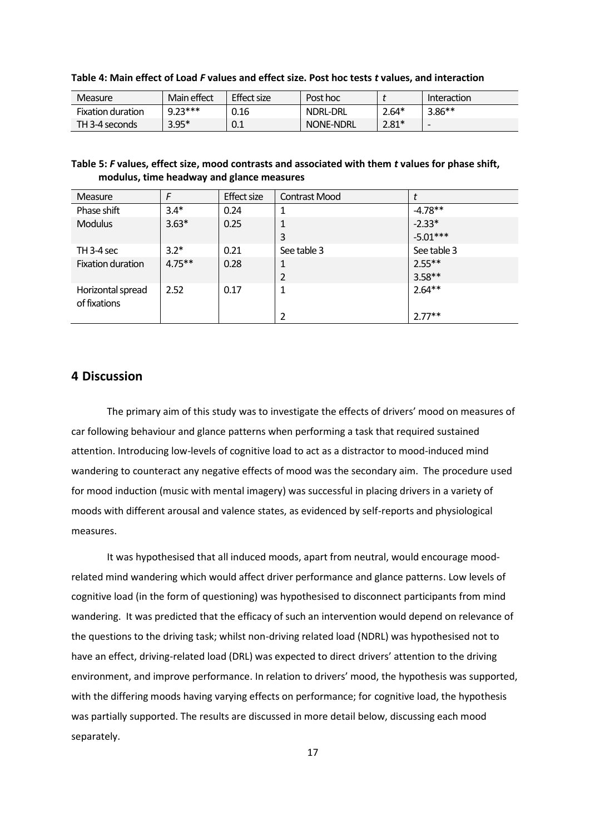| Measure           | Main effect | Effect size | Post hoc  |         | Interaction              |
|-------------------|-------------|-------------|-----------|---------|--------------------------|
| Fixation duration | $9.23***$   | 0.16        | NDRL-DRL  | $2.64*$ | $3.86***$                |
| TH 3-4 seconds    | 3.95*       | U.L         | NONE-NDRL | $2.81*$ | $\overline{\phantom{0}}$ |

## **Table 4: Main effect of Load** *F* **values and effect size. Post hoc tests** *t* **values, and interaction**

## **Table 5:** *F* **values, effect size, mood contrasts and associated with them** *t* **values for phase shift, modulus, time headway and glance measures**

| Measure                           | F         | <b>Effect size</b> | <b>Contrast Mood</b> |             |
|-----------------------------------|-----------|--------------------|----------------------|-------------|
| Phase shift                       | $3.4*$    | 0.24               | 1                    | $-4.78**$   |
| <b>Modulus</b>                    | $3.63*$   | 0.25               | 1                    | $-2.33*$    |
|                                   |           |                    | 3                    | $-5.01***$  |
| TH 3-4 sec                        | $3.2*$    | 0.21               | See table 3          | See table 3 |
| Fixation duration                 | $4.75***$ | 0.28               | 1                    | $2.55***$   |
|                                   |           |                    | 2                    | $3.58**$    |
| Horizontal spread<br>of fixations | 2.52      | 0.17               | 1                    | $2.64**$    |
|                                   |           |                    | 2                    | $2.77**$    |

# **4 Discussion**

The primary aim of this study was to investigate the effects of drivers' mood on measures of car following behaviour and glance patterns when performing a task that required sustained attention. Introducing low-levels of cognitive load to act as a distractor to mood-induced mind wandering to counteract any negative effects of mood was the secondary aim. The procedure used for mood induction (music with mental imagery) was successful in placing drivers in a variety of moods with different arousal and valence states, as evidenced by self-reports and physiological measures.

It was hypothesised that all induced moods, apart from neutral, would encourage moodrelated mind wandering which would affect driver performance and glance patterns. Low levels of cognitive load (in the form of questioning) was hypothesised to disconnect participants from mind wandering. It was predicted that the efficacy of such an intervention would depend on relevance of the questions to the driving task; whilst non-driving related load (NDRL) was hypothesised not to have an effect, driving-related load (DRL) was expected to direct drivers' attention to the driving environment, and improve performance. In relation to drivers' mood, the hypothesis was supported, with the differing moods having varying effects on performance; for cognitive load, the hypothesis was partially supported. The results are discussed in more detail below, discussing each mood separately.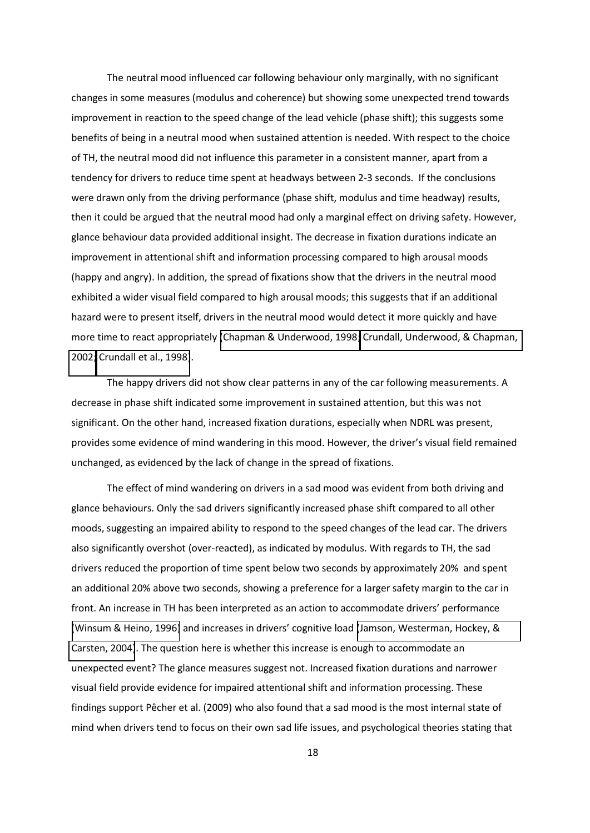The neutral mood influenced car following behaviour only marginally, with no significant changes in some measures (modulus and coherence) but showing some unexpected trend towards improvement in reaction to the speed change of the lead vehicle (phase shift); this suggests some benefits of being in a neutral mood when sustained attention is needed. With respect to the choice of TH, the neutral mood did not influence this parameter in a consistent manner, apart from a tendency for drivers to reduce time spent at headways between 2-3 seconds. If the conclusions were drawn only from the driving performance (phase shift, modulus and time headway) results, then it could be argued that the neutral mood had only a marginal effect on driving safety. However, glance behaviour data provided additional insight. The decrease in fixation durations indicate an improvement in attentional shift and information processing compared to high arousal moods (happy and angry). In addition, the spread of fixations show that the drivers in the neutral mood exhibited a wider visual field compared to high arousal moods; this suggests that if an additional hazard were to present itself, drivers in the neutral mood would detect it more quickly and have more time to react appropriately [\(Chapman & Underwood, 1998;](#page-22-9) [Crundall, Underwood, & Chapman,](#page-22-10)  [2002;](#page-22-10) [Crundall et al., 1998\)](#page-22-8).

The happy drivers did not show clear patterns in any of the car following measurements. A decrease in phase shift indicated some improvement in sustained attention, but this was not significant. On the other hand, increased fixation durations, especially when NDRL was present, provides some evidence of mind wandering in this mood. However, the driver's visual field remained unchanged, as evidenced by the lack of change in the spread of fixations.

The effect of mind wandering on drivers in a sad mood was evident from both driving and glance behaviours. Only the sad drivers significantly increased phase shift compared to all other moods, suggesting an impaired ability to respond to the speed changes of the lead car. The drivers also significantly overshot (over-reacted), as indicated by modulus. With regards to TH, the sad drivers reduced the proportion of time spent below two seconds by approximately 20% and spent an additional 20% above two seconds, showing a preference for a larger safety margin to the car in front. An increase in TH has been interpreted as an action to accommodate drivers' performance [\(Winsum & Heino, 1996\)](#page-26-2) and increases in drivers' cognitive load (Jamson, Westerman, Hockey, & [Carsten, 2004\)](#page-23-8). The question here is whether this increase is enough to accommodate an unexpected event? The glance measures suggest not. Increased fixation durations and narrower visual field provide evidence for impaired attentional shift and information processing. These findings support Pêcher et al. (2009) who also found that a sad mood is the most internal state of mind when drivers tend to focus on their own sad life issues, and psychological theories stating that

18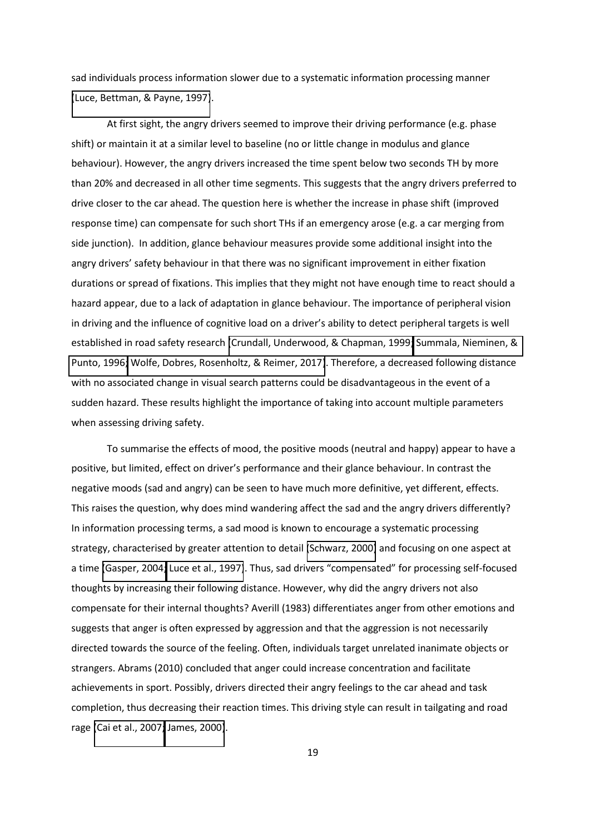sad individuals process information slower due to a systematic information processing manner [\(Luce, Bettman, & Payne, 1997\)](#page-24-6).

At first sight, the angry drivers seemed to improve their driving performance (e.g. phase shift) or maintain it at a similar level to baseline (no or little change in modulus and glance behaviour). However, the angry drivers increased the time spent below two seconds TH by more than 20% and decreased in all other time segments. This suggests that the angry drivers preferred to drive closer to the car ahead. The question here is whether the increase in phase shift (improved response time) can compensate for such short THs if an emergency arose (e.g. a car merging from side junction). In addition, glance behaviour measures provide some additional insight into the angry drivers' safety behaviour in that there was no significant improvement in either fixation durations or spread of fixations. This implies that they might not have enough time to react should a hazard appear, due to a lack of adaptation in glance behaviour. The importance of peripheral vision in driving and the influence of cognitive load on a driver's ability to detect peripheral targets is well established in road safety research [\(Crundall, Underwood, & Chapman, 1999;](#page-22-11) [Summala, Nieminen, &](#page-25-11)  [Punto, 1996;](#page-25-11) [Wolfe, Dobres, Rosenholtz, & Reimer, 2017\)](#page-26-3). Therefore, a decreased following distance with no associated change in visual search patterns could be disadvantageous in the event of a sudden hazard. These results highlight the importance of taking into account multiple parameters when assessing driving safety.

To summarise the effects of mood, the positive moods (neutral and happy) appear to have a positive, but limited, effect on driver's performance and their glance behaviour. In contrast the negative moods (sad and angry) can be seen to have much more definitive, yet different, effects. This raises the question, why does mind wandering affect the sad and the angry drivers differently? In information processing terms, a sad mood is known to encourage a systematic processing strategy, characterised by greater attention to detail [\(Schwarz, 2000\)](#page-25-10) and focusing on one aspect at a time [\(Gasper, 2004;](#page-23-9) [Luce et al., 1997\)](#page-24-6). Thus, sad drivers "compensated" for processing self-focused thoughts by increasing their following distance. However, why did the angry drivers not also compensate for their internal thoughts? Averill (1983) differentiates anger from other emotions and suggests that anger is often expressed by aggression and that the aggression is not necessarily directed towards the source of the feeling. Often, individuals target unrelated inanimate objects or strangers. Abrams (2010) concluded that anger could increase concentration and facilitate achievements in sport. Possibly, drivers directed their angry feelings to the car ahead and task completion, thus decreasing their reaction times. This driving style can result in tailgating and road rage [\(Cai et al., 2007;](#page-22-1) [James, 2000\)](#page-23-10).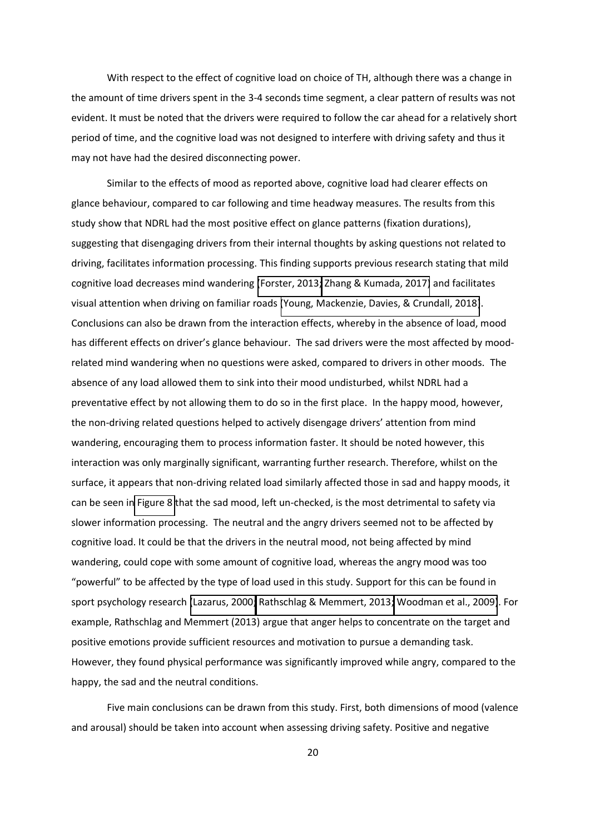With respect to the effect of cognitive load on choice of TH, although there was a change in the amount of time drivers spent in the 3-4 seconds time segment, a clear pattern of results was not evident. It must be noted that the drivers were required to follow the car ahead for a relatively short period of time, and the cognitive load was not designed to interfere with driving safety and thus it may not have had the desired disconnecting power.

Similar to the effects of mood as reported above, cognitive load had clearer effects on glance behaviour, compared to car following and time headway measures. The results from this study show that NDRL had the most positive effect on glance patterns (fixation durations), suggesting that disengaging drivers from their internal thoughts by asking questions not related to driving, facilitates information processing. This finding supports previous research stating that mild cognitive load decreases mind wandering [\(Forster, 2013;](#page-22-12) [Zhang & Kumada, 2017\)](#page-26-4) and facilitates visual attention when driving on familiar roads [\(Young, Mackenzie, Davies, & Crundall, 2018\)](#page-26-5). Conclusions can also be drawn from the interaction effects, whereby in the absence of load, mood has different effects on driver's glance behaviour. The sad drivers were the most affected by moodrelated mind wandering when no questions were asked, compared to drivers in other moods. The absence of any load allowed them to sink into their mood undisturbed, whilst NDRL had a preventative effect by not allowing them to do so in the first place. In the happy mood, however, the non-driving related questions helped to actively disengage drivers' attention from mind wandering, encouraging them to process information faster. It should be noted however, this interaction was only marginally significant, warranting further research. Therefore, whilst on the surface, it appears that non-driving related load similarly affected those in sad and happy moods, it can be seen in [Figure 8](#page-15-0) that the sad mood, left un-checked, is the most detrimental to safety via slower information processing. The neutral and the angry drivers seemed not to be affected by cognitive load. It could be that the drivers in the neutral mood, not being affected by mind wandering, could cope with some amount of cognitive load, whereas the angry mood was too "powerful" to be affected by the type of load used in this study. Support for this can be found in sport psychology research [\(Lazarus, 2000;](#page-24-7) [Rathschlag & Memmert, 2013;](#page-24-8) [Woodman et al., 2009\)](#page-26-6). For example, Rathschlag and Memmert (2013) argue that anger helps to concentrate on the target and positive emotions provide sufficient resources and motivation to pursue a demanding task. However, they found physical performance was significantly improved while angry, compared to the happy, the sad and the neutral conditions.

Five main conclusions can be drawn from this study. First, both dimensions of mood (valence and arousal) should be taken into account when assessing driving safety. Positive and negative

20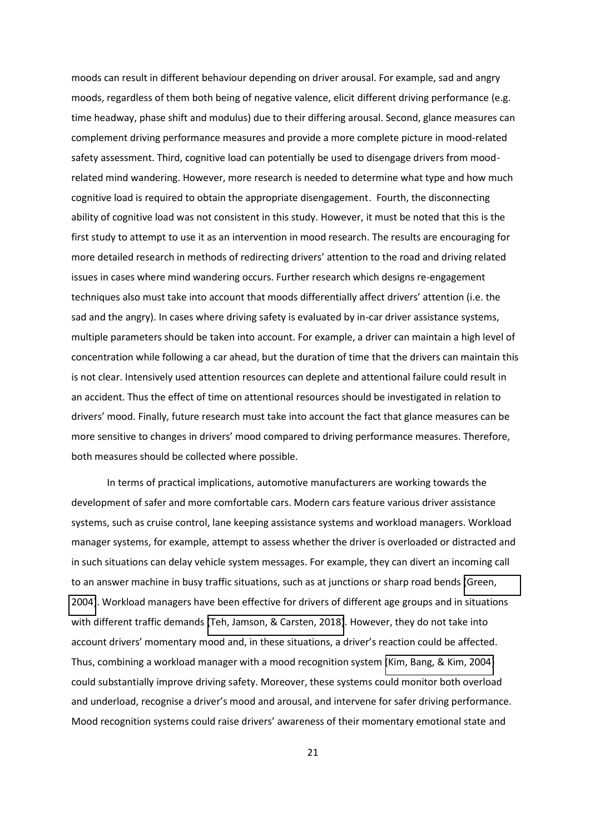moods can result in different behaviour depending on driver arousal. For example, sad and angry moods, regardless of them both being of negative valence, elicit different driving performance (e.g. time headway, phase shift and modulus) due to their differing arousal. Second, glance measures can complement driving performance measures and provide a more complete picture in mood-related safety assessment. Third, cognitive load can potentially be used to disengage drivers from moodrelated mind wandering. However, more research is needed to determine what type and how much cognitive load is required to obtain the appropriate disengagement. Fourth, the disconnecting ability of cognitive load was not consistent in this study. However, it must be noted that this is the first study to attempt to use it as an intervention in mood research. The results are encouraging for more detailed research in methods of redirecting drivers' attention to the road and driving related issues in cases where mind wandering occurs. Further research which designs re-engagement techniques also must take into account that moods differentially affect drivers' attention (i.e. the sad and the angry). In cases where driving safety is evaluated by in-car driver assistance systems, multiple parameters should be taken into account. For example, a driver can maintain a high level of concentration while following a car ahead, but the duration of time that the drivers can maintain this is not clear. Intensively used attention resources can deplete and attentional failure could result in an accident. Thus the effect of time on attentional resources should be investigated in relation to drivers' mood. Finally, future research must take into account the fact that glance measures can be more sensitive to changes in drivers' mood compared to driving performance measures. Therefore, both measures should be collected where possible.

<span id="page-21-3"></span><span id="page-21-2"></span><span id="page-21-1"></span><span id="page-21-0"></span>In terms of practical implications, automotive manufacturers are working towards the development of safer and more comfortable cars. Modern cars feature various driver assistance systems, such as cruise control, lane keeping assistance systems and workload managers. Workload manager systems, for example, attempt to assess whether the driver is overloaded or distracted and in such situations can delay vehicle system messages. For example, they can divert an incoming call to an answer machine in busy traffic situations, such as at junctions or sharp road bends [\(Green,](#page-23-11)  [2004\)](#page-23-11). Workload managers have been effective for drivers of different age groups and in situations with different traffic demands [\(Teh, Jamson, & Carsten, 2018\)](#page-25-12). However, they do not take into account drivers' momentary mood and, in these situations, a driver's reaction could be affected. Thus, combining a workload manager with a mood recognition system [\(Kim, Bang, & Kim, 2004\)](#page-23-12) could substantially improve driving safety. Moreover, these systems could monitor both overload and underload, recognise a driver's mood and arousal, and intervene for safer driving performance. Mood recognition systems could raise drivers' awareness of their momentary emotional state and

21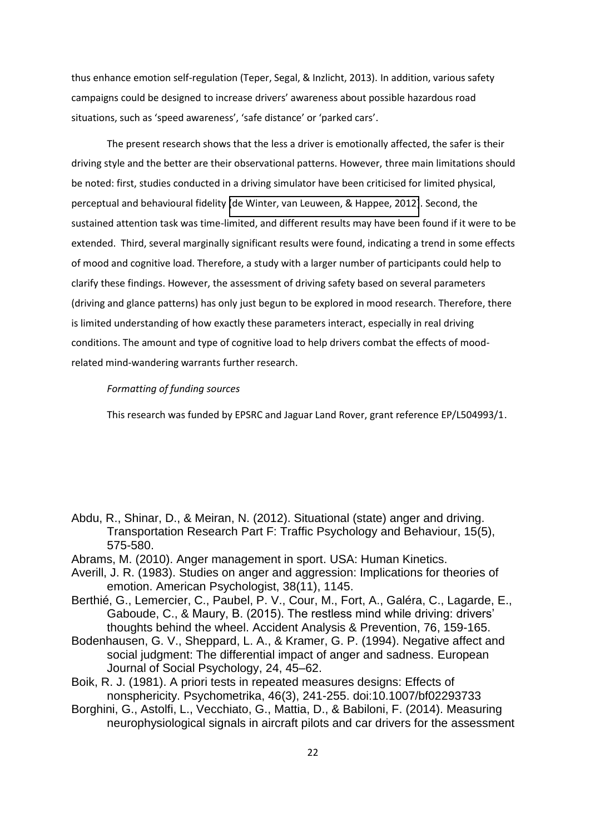<span id="page-22-6"></span>thus enhance emotion self-regulation (Teper, Segal, & Inzlicht, 2013). In addition, various safety campaigns could be designed to increase drivers' awareness about possible hazardous road situations, such as 'speed awareness', 'safe distance' or 'parked cars'.

<span id="page-22-9"></span><span id="page-22-3"></span><span id="page-22-1"></span>The present research shows that the less a driver is emotionally affected, the safer is their driving style and the better are their observational patterns. However, three main limitations should be noted: first, studies conducted in a driving simulator have been criticised for limited physical, perceptual and behavioural fidelity [\(de Winter, van Leuween, & Happee, 2012\)](#page-22-13). Second, the sustained attention task was time-limited, and different results may have been found if it were to be extended. Third, several marginally significant results were found, indicating a trend in some effects of mood and cognitive load. Therefore, a study with a larger number of participants could help to clarify these findings. However, the assessment of driving safety based on several parameters (driving and glance patterns) has only just begun to be explored in mood research. Therefore, there is limited understanding of how exactly these parameters interact, especially in real driving conditions. The amount and type of cognitive load to help drivers combat the effects of moodrelated mind-wandering warrants further research.

### <span id="page-22-11"></span><span id="page-22-7"></span>*Formatting of funding sources*

<span id="page-22-10"></span><span id="page-22-8"></span>This research was funded by EPSRC and Jaguar Land Rover, grant reference EP/L504993/1.

- <span id="page-22-4"></span>Abdu, R., Shinar, D., & Meiran, N. (2012). Situational (state) anger and driving. Transportation Research Part F: Traffic Psychology and Behaviour, 15(5), 575-580.
- <span id="page-22-13"></span>Abrams, M. (2010). Anger management in sport. USA: Human Kinetics.
- <span id="page-22-0"></span>Averill, J. R. (1983). Studies on anger and aggression: Implications for theories of emotion. American Psychologist, 38(11), 1145.
- Berthié, G., Lemercier, C., Paubel, P. V., Cour, M., Fort, A., Galéra, C., Lagarde, E., Gaboude, C., & Maury, B. (2015). The restless mind while driving: drivers' thoughts behind the wheel. Accident Analysis & Prevention, 76, 159-165.
- <span id="page-22-2"></span>Bodenhausen, G. V., Sheppard, L. A., & Kramer, G. P. (1994). Negative affect and social judgment: The differential impact of anger and sadness. European Journal of Social Psychology, 24, 45–62.
- <span id="page-22-5"></span>Boik, R. J. (1981). A priori tests in repeated measures designs: Effects of nonsphericity. Psychometrika, 46(3), 241-255. doi:10.1007/bf02293733
- <span id="page-22-12"></span>Borghini, G., Astolfi, L., Vecchiato, G., Mattia, D., & Babiloni, F. (2014). Measuring neurophysiological signals in aircraft pilots and car drivers for the assessment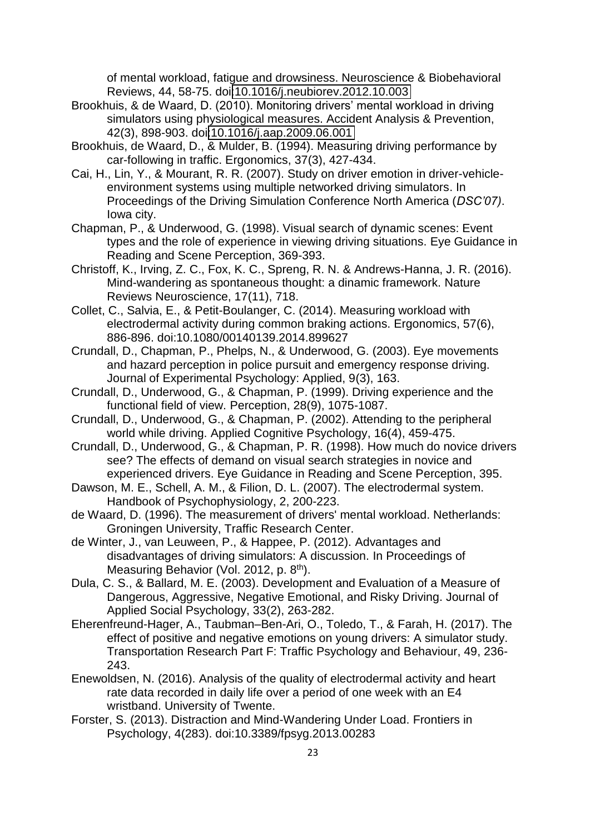of mental workload, fatigue and drowsiness. Neuroscience & Biobehavioral Reviews, 44, 58-75. doi[:10.1016/j.neubiorev.2012.10.003](https://doi.org/10.1016/j.neubiorev.2012.10.003) 

- <span id="page-23-11"></span><span id="page-23-9"></span>Brookhuis, & de Waard, D. (2010). Monitoring drivers' mental workload in driving simulators using physiological measures. Accident Analysis & Prevention, 42(3), 898-903. doi[:10.1016/j.aap.2009.06.001](https://doi.org/10.1016/j.aap.2009.06.001)
- Brookhuis, de Waard, D., & Mulder, B. (1994). Measuring driving performance by car-following in traffic. Ergonomics, 37(3), 427-434.
- Cai, H., Lin, Y., & Mourant, R. R. (2007). Study on driver emotion in driver-vehicleenvironment systems using multiple networked driving simulators. In Proceedings of the Driving Simulation Conference North America (*DSC'07)*. Iowa city.
- <span id="page-23-5"></span>Chapman, P., & Underwood, G. (1998). Visual search of dynamic scenes: Event types and the role of experience in viewing driving situations. Eye Guidance in Reading and Scene Perception, 369-393.
- <span id="page-23-10"></span><span id="page-23-8"></span>Christoff, K., Irving, Z. C., Fox, K. C., Spreng, R. N. & Andrews-Hanna, J. R. (2016). Mind-wandering as spontaneous thought: a dinamic framework. Nature Reviews Neuroscience, 17(11), 718.
- <span id="page-23-2"></span>Collet, C., Salvia, E., & Petit-Boulanger, C. (2014). Measuring workload with electrodermal activity during common braking actions. Ergonomics, 57(6), 886-896. doi:10.1080/00140139.2014.899627
- Crundall, D., Chapman, P., Phelps, N., & Underwood, G. (2003). Eye movements and hazard perception in police pursuit and emergency response driving. Journal of Experimental Psychology: Applied, 9(3), 163.
- <span id="page-23-4"></span>Crundall, D., Underwood, G., & Chapman, P. (1999). Driving experience and the functional field of view. Perception, 28(9), 1075-1087.
- Crundall, D., Underwood, G., & Chapman, P. (2002). Attending to the peripheral world while driving. Applied Cognitive Psychology, 16(4), 459-475.
- Crundall, D., Underwood, G., & Chapman, P. R. (1998). How much do novice drivers see? The effects of demand on visual search strategies in novice and experienced drivers. Eye Guidance in Reading and Scene Perception, 395.
- <span id="page-23-12"></span>Dawson, M. E., Schell, A. M., & Filion, D. L. (2007). The electrodermal system. Handbook of Psychophysiology, 2, 200-223.
- <span id="page-23-7"></span>de Waard, D. (1996). The measurement of drivers' mental workload. Netherlands: Groningen University, Traffic Research Center.
- <span id="page-23-6"></span>de Winter, J., van Leuween, P., & Happee, P. (2012). Advantages and disadvantages of driving simulators: A discussion. In Proceedings of Measuring Behavior (Vol. 2012, p. 8<sup>th</sup>).
- <span id="page-23-3"></span>Dula, C. S., & Ballard, M. E. (2003). Development and Evaluation of a Measure of Dangerous, Aggressive, Negative Emotional, and Risky Driving. Journal of Applied Social Psychology, 33(2), 263-282.
- Eherenfreund-Hager, A., Taubman–Ben-Ari, O., Toledo, T., & Farah, H. (2017). The effect of positive and negative emotions on young drivers: A simulator study. Transportation Research Part F: Traffic Psychology and Behaviour, 49, 236- 243.
- <span id="page-23-1"></span>Enewoldsen, N. (2016). Analysis of the quality of electrodermal activity and heart rate data recorded in daily life over a period of one week with an E4 wristband. University of Twente.
- <span id="page-23-0"></span>Forster, S. (2013). Distraction and Mind-Wandering Under Load. Frontiers in Psychology, 4(283). doi:10.3389/fpsyg.2013.00283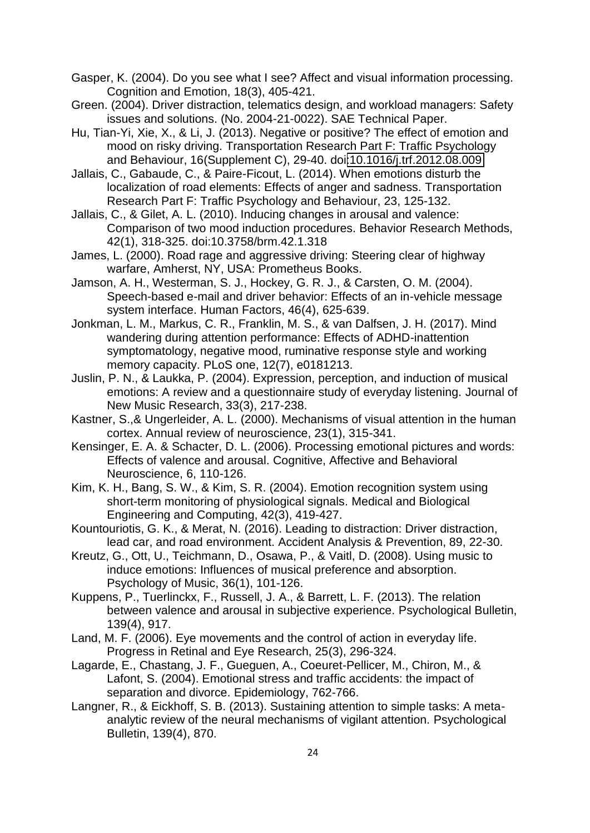<span id="page-24-7"></span>Gasper, K. (2004). Do you see what I see? Affect and visual information processing. Cognition and Emotion, 18(3), 405-421.

<span id="page-24-2"></span>Green. (2004). Driver distraction, telematics design, and workload managers: Safety issues and solutions. (No. 2004-21-0022). SAE Technical Paper.

Hu, Tian-Yi, Xie, X., & Li, J. (2013). Negative or positive? The effect of emotion and mood on risky driving. Transportation Research Part F: Traffic Psychology and Behaviour, 16(Supplement C), 29-40. doi[:10.1016/j.trf.2012.08.009](https://doi.org/10.1016/j.trf.2012.08.009) 

<span id="page-24-6"></span>Jallais, C., Gabaude, C., & Paire-Ficout, L. (2014). When emotions disturb the localization of road elements: Effects of anger and sadness. Transportation Research Part F: Traffic Psychology and Behaviour, 23, 125-132.

Jallais, C., & Gilet, A. L. (2010). Inducing changes in arousal and valence: Comparison of two mood induction procedures. Behavior Research Methods, 42(1), 318-325. doi:10.3758/brm.42.1.318

James, L. (2000). Road rage and aggressive driving: Steering clear of highway warfare, Amherst, NY, USA: Prometheus Books.

Jamson, A. H., Westerman, S. J., Hockey, G. R. J., & Carsten, O. M. (2004). Speech-based e-mail and driver behavior: Effects of an in-vehicle message system interface. Human Factors, 46(4), 625-639.

Jonkman, L. M., Markus, C. R., Franklin, M. S., & van Dalfsen, J. H. (2017). Mind wandering during attention performance: Effects of ADHD-inattention symptomatology, negative mood, ruminative response style and working memory capacity. PLoS one, 12(7), e0181213.

<span id="page-24-0"></span>Juslin, P. N., & Laukka, P. (2004). Expression, perception, and induction of musical emotions: A review and a questionnaire study of everyday listening. Journal of New Music Research, 33(3), 217-238.

Kastner, S.,& Ungerleider, A. L. (2000). Mechanisms of visual attention in the human cortex. Annual review of neuroscience, 23(1), 315-341.

<span id="page-24-1"></span>Kensinger, E. A. & Schacter, D. L. (2006). Processing emotional pictures and words: Effects of valence and arousal. Cognitive, Affective and Behavioral Neuroscience, 6, 110-126.

Kim, K. H., Bang, S. W., & Kim, S. R. (2004). Emotion recognition system using short-term monitoring of physiological signals. Medical and Biological Engineering and Computing, 42(3), 419-427.

<span id="page-24-5"></span>Kountouriotis, G. K., & Merat, N. (2016). Leading to distraction: Driver distraction, lead car, and road environment. Accident Analysis & Prevention, 89, 22-30.

Kreutz, G., Ott, U., Teichmann, D., Osawa, P., & Vaitl, D. (2008). Using music to induce emotions: Influences of musical preference and absorption. Psychology of Music, 36(1), 101-126.

<span id="page-24-3"></span>Kuppens, P., Tuerlinckx, F., Russell, J. A., & Barrett, L. F. (2013). The relation between valence and arousal in subjective experience. Psychological Bulletin, 139(4), 917.

<span id="page-24-4"></span>Land, M. F. (2006). Eye movements and the control of action in everyday life. Progress in Retinal and Eye Research, 25(3), 296-324.

<span id="page-24-8"></span>Lagarde, E., Chastang, J. F., Gueguen, A., Coeuret-Pellicer, M., Chiron, M., & Lafont, S. (2004). Emotional stress and traffic accidents: the impact of separation and divorce. Epidemiology, 762-766.

Langner, R., & Eickhoff, S. B. (2013). Sustaining attention to simple tasks: A metaanalytic review of the neural mechanisms of vigilant attention. Psychological Bulletin, 139(4), 870.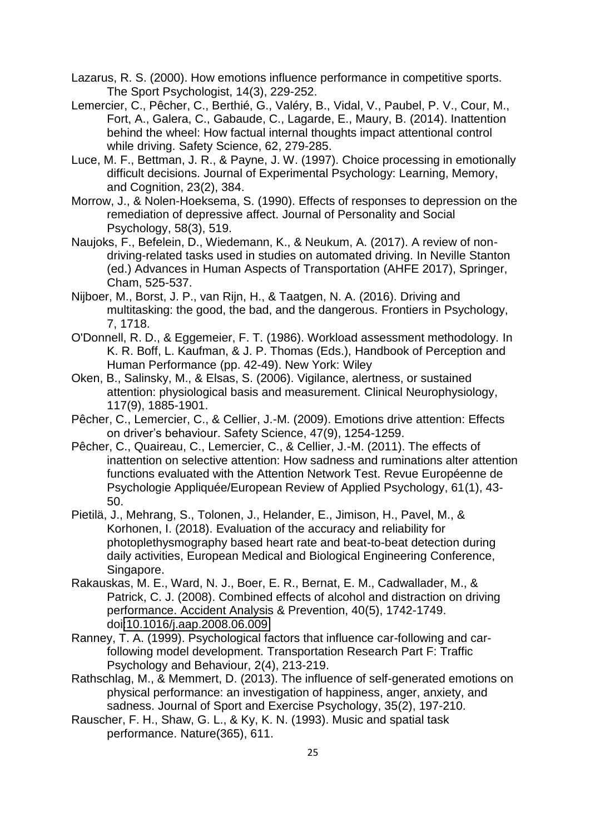- <span id="page-25-8"></span>Lazarus, R. S. (2000). How emotions influence performance in competitive sports. The Sport Psychologist, 14(3), 229-252.
- <span id="page-25-5"></span>Lemercier, C., Pêcher, C., Berthié, G., Valéry, B., Vidal, V., Paubel, P. V., Cour, M., Fort, A., Galera, C., Gabaude, C., Lagarde, E., Maury, B. (2014). Inattention behind the wheel: How factual internal thoughts impact attentional control while driving. Safety Science, 62, 279-285.
- <span id="page-25-0"></span>Luce, M. F., Bettman, J. R., & Payne, J. W. (1997). Choice processing in emotionally difficult decisions. Journal of Experimental Psychology: Learning, Memory, and Cognition, 23(2), 384.
- <span id="page-25-3"></span>Morrow, J., & Nolen-Hoeksema, S. (1990). Effects of responses to depression on the remediation of depressive affect. Journal of Personality and Social Psychology, 58(3), 519.
- <span id="page-25-10"></span>Naujoks, F., Befelein, D., Wiedemann, K., & Neukum, A. (2017). A review of nondriving-related tasks used in studies on automated driving. In Neville Stanton (ed.) Advances in Human Aspects of Transportation (AHFE 2017), Springer, Cham, 525-537.
- Nijboer, M., Borst, J. P., van Rijn, H., & Taatgen, N. A. (2016). Driving and multitasking: the good, the bad, and the dangerous. Frontiers in Psychology, 7, 1718.
- <span id="page-25-9"></span>O'Donnell, R. D., & Eggemeier, F. T. (1986). Workload assessment methodology. In K. R. Boff, L. Kaufman, & J. P. Thomas (Eds.), Handbook of Perception and Human Performance (pp. 42-49). New York: Wiley
- <span id="page-25-11"></span>Oken, B., Salinsky, M., & Elsas, S. (2006). Vigilance, alertness, or sustained attention: physiological basis and measurement. Clinical Neurophysiology, 117(9), 1885-1901.
- <span id="page-25-1"></span>Pêcher, C., Lemercier, C., & Cellier, J.-M. (2009). Emotions drive attention: Effects on driver's behaviour. Safety Science, 47(9), 1254-1259.
- <span id="page-25-6"></span>Pêcher, C., Quaireau, C., Lemercier, C., & Cellier, J.-M. (2011). The effects of inattention on selective attention: How sadness and ruminations alter attention functions evaluated with the Attention Network Test. Revue Européenne de Psychologie Appliquée/European Review of Applied Psychology, 61(1), 43- 50.
- <span id="page-25-12"></span>Pietilä, J., Mehrang, S., Tolonen, J., Helander, E., Jimison, H., Pavel, M., & Korhonen, I. (2018). Evaluation of the accuracy and reliability for photoplethysmography based heart rate and beat-to-beat detection during daily activities, European Medical and Biological Engineering Conference, Singapore.
- <span id="page-25-4"></span><span id="page-25-2"></span>Rakauskas, M. E., Ward, N. J., Boer, E. R., Bernat, E. M., Cadwallader, M., & Patrick, C. J. (2008). Combined effects of alcohol and distraction on driving performance. Accident Analysis & Prevention, 40(5), 1742-1749. doi[:10.1016/j.aap.2008.06.009](https://doi.org/10.1016/j.aap.2008.06.009)
- Ranney, T. A. (1999). Psychological factors that influence car-following and carfollowing model development. Transportation Research Part F: Traffic Psychology and Behaviour, 2(4), 213-219.
- <span id="page-25-7"></span>Rathschlag, M., & Memmert, D. (2013). The influence of self-generated emotions on physical performance: an investigation of happiness, anger, anxiety, and sadness. Journal of Sport and Exercise Psychology, 35(2), 197-210.
- Rauscher, F. H., Shaw, G. L., & Ky, K. N. (1993). Music and spatial task performance. Nature(365), 611.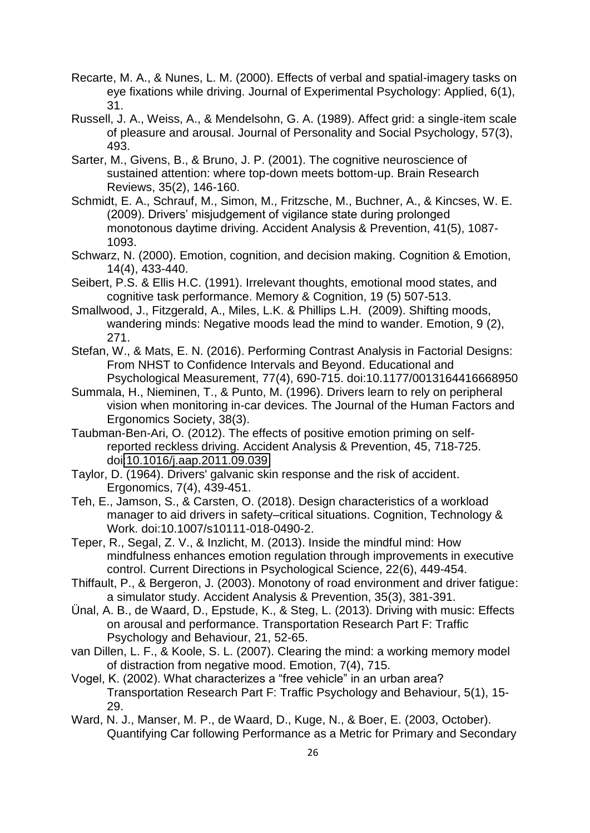- Recarte, M. A., & Nunes, L. M. (2000). Effects of verbal and spatial-imagery tasks on eye fixations while driving. Journal of Experimental Psychology: Applied, 6(1), 31.
- <span id="page-26-1"></span>Russell, J. A., Weiss, A., & Mendelsohn, G. A. (1989). Affect grid: a single-item scale of pleasure and arousal. Journal of Personality and Social Psychology, 57(3), 493.
- Sarter, M., Givens, B., & Bruno, J. P. (2001). The cognitive neuroscience of sustained attention: where top-down meets bottom-up. Brain Research Reviews, 35(2), 146-160.
- <span id="page-26-3"></span><span id="page-26-2"></span>Schmidt, E. A., Schrauf, M., Simon, M., Fritzsche, M., Buchner, A., & Kincses, W. E. (2009). Drivers' misjudgement of vigilance state during prolonged monotonous daytime driving. Accident Analysis & Prevention, 41(5), 1087- 1093.
- <span id="page-26-6"></span>Schwarz, N. (2000). Emotion, cognition, and decision making. Cognition & Emotion, 14(4), 433-440.
- Seibert, P.S. & Ellis H.C. (1991). Irrelevant thoughts, emotional mood states, and cognitive task performance. Memory & Cognition, 19 (5) 507-513.
- <span id="page-26-5"></span>Smallwood, J., Fitzgerald, A., Miles, L.K. & Phillips L.H. (2009). Shifting moods, wandering minds: Negative moods lead the mind to wander. Emotion, 9 (2), 271.
- <span id="page-26-4"></span>Stefan, W., & Mats, E. N. (2016). Performing Contrast Analysis in Factorial Designs: From NHST to Confidence Intervals and Beyond. Educational and Psychological Measurement, 77(4), 690-715. doi:10.1177/0013164416668950
- <span id="page-26-0"></span>Summala, H., Nieminen, T., & Punto, M. (1996). Drivers learn to rely on peripheral vision when monitoring in-car devices. The Journal of the Human Factors and Ergonomics Society, 38(3).
- Taubman-Ben-Ari, O. (2012). The effects of positive emotion priming on selfreported reckless driving. Accident Analysis & Prevention, 45, 718-725. doi[:10.1016/j.aap.2011.09.039](https://doi.org/10.1016/j.aap.2011.09.039)
- Taylor, D. (1964). Drivers' galvanic skin response and the risk of accident. Ergonomics, 7(4), 439-451.
- Teh, E., Jamson, S., & Carsten, O. (2018). Design characteristics of a workload manager to aid drivers in safety–critical situations. Cognition, Technology & Work. doi:10.1007/s10111-018-0490-2.
- Teper, R., Segal, Z. V., & Inzlicht, M. (2013). Inside the mindful mind: How mindfulness enhances emotion regulation through improvements in executive control. Current Directions in Psychological Science, 22(6), 449-454.
- Thiffault, P., & Bergeron, J. (2003). Monotony of road environment and driver fatigue: a simulator study. Accident Analysis & Prevention, 35(3), 381-391.
- Ünal, A. B., de Waard, D., Epstude, K., & Steg, L. (2013). Driving with music: Effects on arousal and performance. Transportation Research Part F: Traffic Psychology and Behaviour, 21, 52-65.
- van Dillen, L. F., & Koole, S. L. (2007). Clearing the mind: a working memory model of distraction from negative mood. Emotion, 7(4), 715.
- Vogel, K. (2002). What characterizes a "free vehicle" in an urban area? Transportation Research Part F: Traffic Psychology and Behaviour, 5(1), 15- 29.
- Ward, N. J., Manser, M. P., de Waard, D., Kuge, N., & Boer, E. (2003, October). Quantifying Car following Performance as a Metric for Primary and Secondary